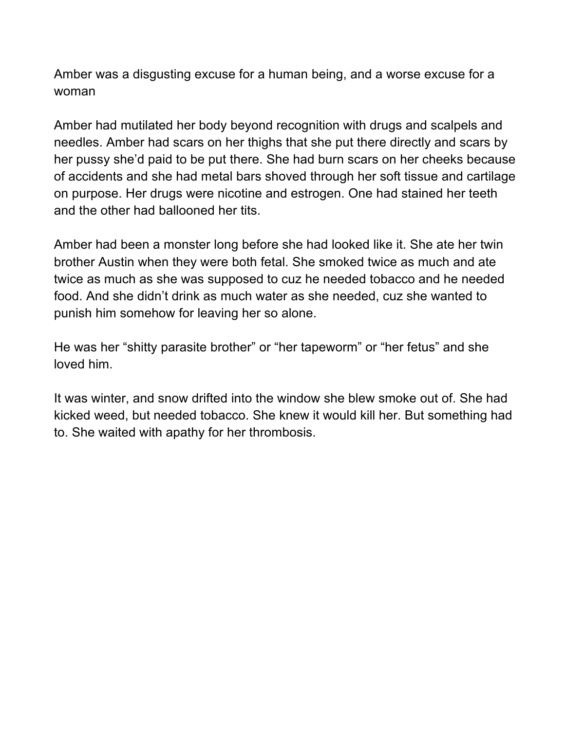Amber was a disgusting excuse for a human being, and a worse excuse for a woman

Amber had mutilated her body beyond recognition with drugs and scalpels and needles. Amber had scars on her thighs that she put there directly and scars by her pussy she'd paid to be put there. She had burn scars on her cheeks because of accidents and she had metal bars shoved through her soft tissue and cartilage on purpose. Her drugs were nicotine and estrogen. One had stained her teeth and the other had ballooned her tits.

Amber had been a monster long before she had looked like it. She ate her twin brother Austin when they were both fetal. She smoked twice as much and ate twice as much as she was supposed to cuz he needed tobacco and he needed food. And she didn't drink as much water as she needed, cuz she wanted to punish him somehow for leaving her so alone.

He was her "shitty parasite brother" or "her tapeworm" or "her fetus" and she loved him.

It was winter, and snow drifted into the window she blew smoke out of. She had kicked weed, but needed tobacco. She knew it would kill her. But something had to. She waited with apathy for her thrombosis.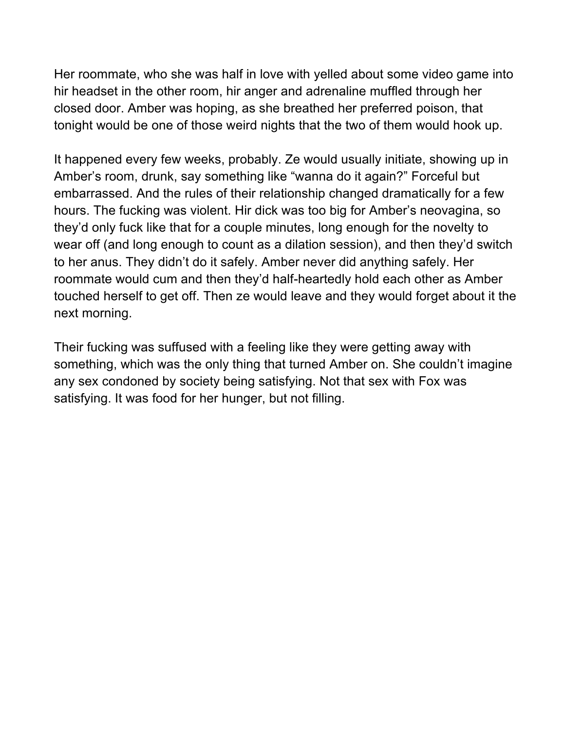Her roommate, who she was half in love with yelled about some video game into hir headset in the other room, hir anger and adrenaline muffled through her closed door. Amber was hoping, as she breathed her preferred poison, that tonight would be one of those weird nights that the two of them would hook up.

It happened every few weeks, probably. Ze would usually initiate, showing up in Amber's room, drunk, say something like "wanna do it again?" Forceful but embarrassed. And the rules of their relationship changed dramatically for a few hours. The fucking was violent. Hir dick was too big for Amber's neovagina, so they'd only fuck like that for a couple minutes, long enough for the novelty to wear off (and long enough to count as a dilation session), and then they'd switch to her anus. They didn't do it safely. Amber never did anything safely. Her roommate would cum and then they'd half-heartedly hold each other as Amber touched herself to get off. Then ze would leave and they would forget about it the next morning.

Their fucking was suffused with a feeling like they were getting away with something, which was the only thing that turned Amber on. She couldn't imagine any sex condoned by society being satisfying. Not that sex with Fox was satisfying. It was food for her hunger, but not filling.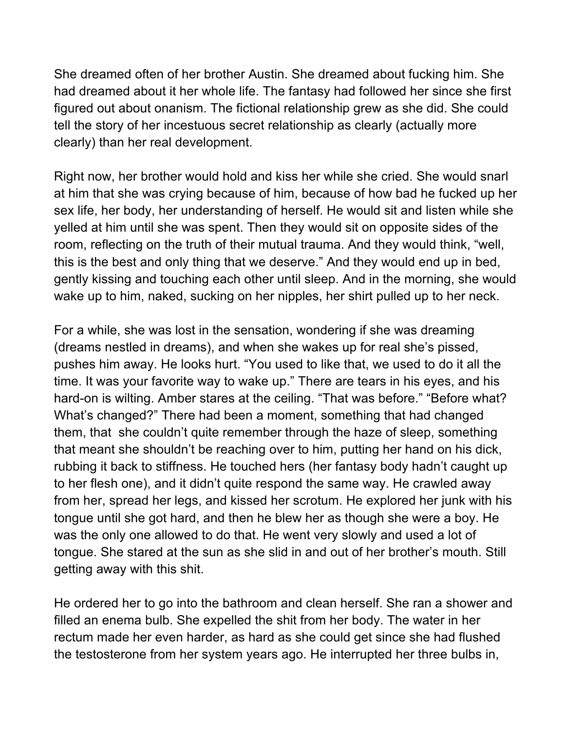She dreamed often of her brother Austin. She dreamed about fucking him. She had dreamed about it her whole life. The fantasy had followed her since she first figured out about onanism. The fictional relationship grew as she did. She could tell the story of her incestuous secret relationship as clearly (actually more clearly) than her real development.

Right now, her brother would hold and kiss her while she cried. She would snarl at him that she was crying because of him, because of how bad he fucked up her sex life, her body, her understanding of herself. He would sit and listen while she yelled at him until she was spent. Then they would sit on opposite sides of the room, reflecting on the truth of their mutual trauma. And they would think, "well, this is the best and only thing that we deserve." And they would end up in bed, gently kissing and touching each other until sleep. And in the morning, she would wake up to him, naked, sucking on her nipples, her shirt pulled up to her neck.

For a while, she was lost in the sensation, wondering if she was dreaming (dreams nestled in dreams), and when she wakes up for real she's pissed, pushes him away. He looks hurt. "You used to like that, we used to do it all the time. It was your favorite way to wake up." There are tears in his eyes, and his hard-on is wilting. Amber stares at the ceiling. "That was before." "Before what? What's changed?" There had been a moment, something that had changed them, that she couldn't quite remember through the haze of sleep, something that meant she shouldn't be reaching over to him, putting her hand on his dick, rubbing it back to stiffness. He touched hers (her fantasy body hadn't caught up to her flesh one), and it didn't quite respond the same way. He crawled away from her, spread her legs, and kissed her scrotum. He explored her junk with his tongue until she got hard, and then he blew her as though she were a boy. He was the only one allowed to do that. He went very slowly and used a lot of tongue. She stared at the sun as she slid in and out of her brother's mouth. Still getting away with this shit.

He ordered her to go into the bathroom and clean herself. She ran a shower and filled an enema bulb. She expelled the shit from her body. The water in her rectum made her even harder, as hard as she could get since she had flushed the testosterone from her system years ago. He interrupted her three bulbs in,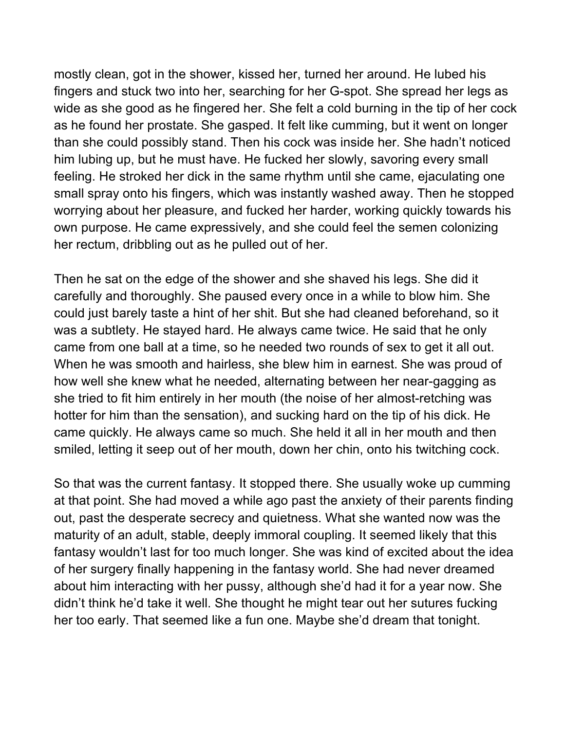mostly clean, got in the shower, kissed her, turned her around. He lubed his fingers and stuck two into her, searching for her G-spot. She spread her legs as wide as she good as he fingered her. She felt a cold burning in the tip of her cock as he found her prostate. She gasped. It felt like cumming, but it went on longer than she could possibly stand. Then his cock was inside her. She hadn't noticed him lubing up, but he must have. He fucked her slowly, savoring every small feeling. He stroked her dick in the same rhythm until she came, ejaculating one small spray onto his fingers, which was instantly washed away. Then he stopped worrying about her pleasure, and fucked her harder, working quickly towards his own purpose. He came expressively, and she could feel the semen colonizing her rectum, dribbling out as he pulled out of her.

Then he sat on the edge of the shower and she shaved his legs. She did it carefully and thoroughly. She paused every once in a while to blow him. She could just barely taste a hint of her shit. But she had cleaned beforehand, so it was a subtlety. He stayed hard. He always came twice. He said that he only came from one ball at a time, so he needed two rounds of sex to get it all out. When he was smooth and hairless, she blew him in earnest. She was proud of how well she knew what he needed, alternating between her near-gagging as she tried to fit him entirely in her mouth (the noise of her almost-retching was hotter for him than the sensation), and sucking hard on the tip of his dick. He came quickly. He always came so much. She held it all in her mouth and then smiled, letting it seep out of her mouth, down her chin, onto his twitching cock.

So that was the current fantasy. It stopped there. She usually woke up cumming at that point. She had moved a while ago past the anxiety of their parents finding out, past the desperate secrecy and quietness. What she wanted now was the maturity of an adult, stable, deeply immoral coupling. It seemed likely that this fantasy wouldn't last for too much longer. She was kind of excited about the idea of her surgery finally happening in the fantasy world. She had never dreamed about him interacting with her pussy, although she'd had it for a year now. She didn't think he'd take it well. She thought he might tear out her sutures fucking her too early. That seemed like a fun one. Maybe she'd dream that tonight.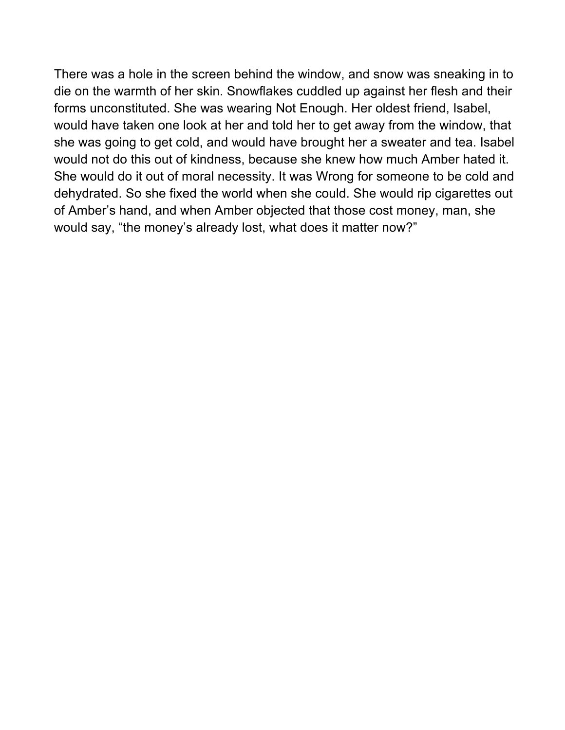There was a hole in the screen behind the window, and snow was sneaking in to die on the warmth of her skin. Snowflakes cuddled up against her flesh and their forms unconstituted. She was wearing Not Enough. Her oldest friend, Isabel, would have taken one look at her and told her to get away from the window, that she was going to get cold, and would have brought her a sweater and tea. Isabel would not do this out of kindness, because she knew how much Amber hated it. She would do it out of moral necessity. It was Wrong for someone to be cold and dehydrated. So she fixed the world when she could. She would rip cigarettes out of Amber's hand, and when Amber objected that those cost money, man, she would say, "the money's already lost, what does it matter now?"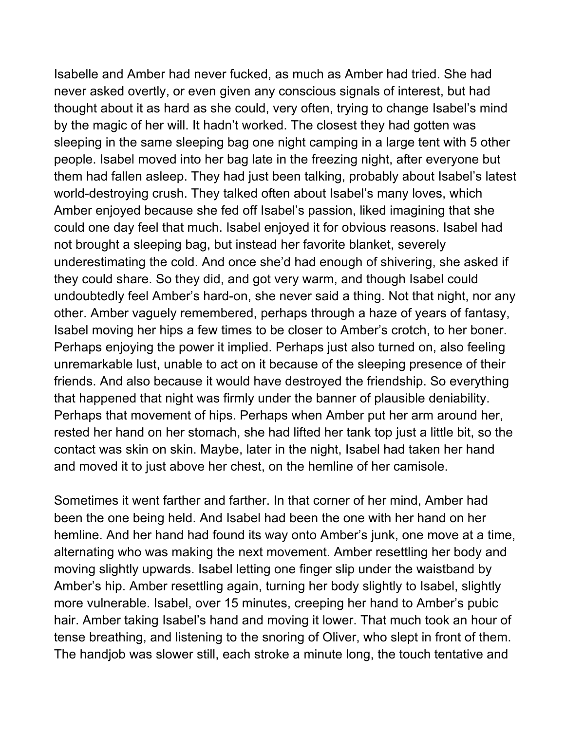Isabelle and Amber had never fucked, as much as Amber had tried. She had never asked overtly, or even given any conscious signals of interest, but had thought about it as hard as she could, very often, trying to change Isabel's mind by the magic of her will. It hadn't worked. The closest they had gotten was sleeping in the same sleeping bag one night camping in a large tent with 5 other people. Isabel moved into her bag late in the freezing night, after everyone but them had fallen asleep. They had just been talking, probably about Isabel's latest world-destroying crush. They talked often about Isabel's many loves, which Amber enjoyed because she fed off Isabel's passion, liked imagining that she could one day feel that much. Isabel enjoyed it for obvious reasons. Isabel had not brought a sleeping bag, but instead her favorite blanket, severely underestimating the cold. And once she'd had enough of shivering, she asked if they could share. So they did, and got very warm, and though Isabel could undoubtedly feel Amber's hard-on, she never said a thing. Not that night, nor any other. Amber vaguely remembered, perhaps through a haze of years of fantasy, Isabel moving her hips a few times to be closer to Amber's crotch, to her boner. Perhaps enjoying the power it implied. Perhaps just also turned on, also feeling unremarkable lust, unable to act on it because of the sleeping presence of their friends. And also because it would have destroyed the friendship. So everything that happened that night was firmly under the banner of plausible deniability. Perhaps that movement of hips. Perhaps when Amber put her arm around her, rested her hand on her stomach, she had lifted her tank top just a little bit, so the contact was skin on skin. Maybe, later in the night, Isabel had taken her hand and moved it to just above her chest, on the hemline of her camisole.

Sometimes it went farther and farther. In that corner of her mind, Amber had been the one being held. And Isabel had been the one with her hand on her hemline. And her hand had found its way onto Amber's junk, one move at a time, alternating who was making the next movement. Amber resettling her body and moving slightly upwards. Isabel letting one finger slip under the waistband by Amber's hip. Amber resettling again, turning her body slightly to Isabel, slightly more vulnerable. Isabel, over 15 minutes, creeping her hand to Amber's pubic hair. Amber taking Isabel's hand and moving it lower. That much took an hour of tense breathing, and listening to the snoring of Oliver, who slept in front of them. The handjob was slower still, each stroke a minute long, the touch tentative and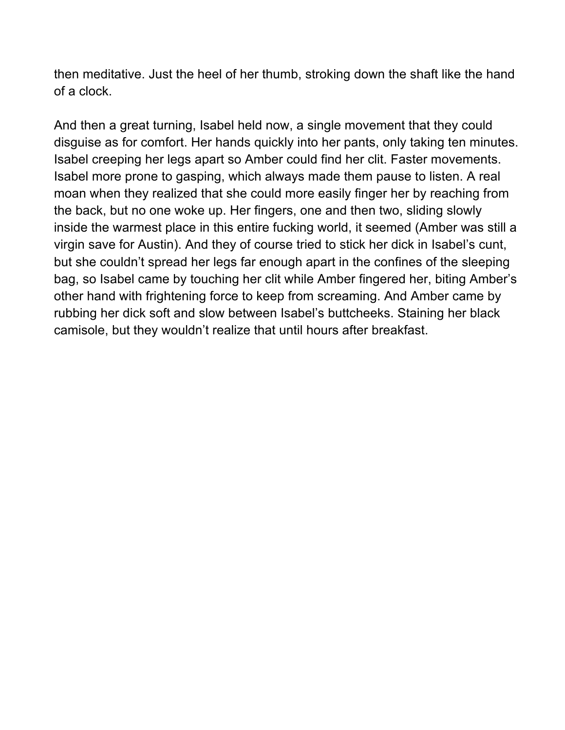then meditative. Just the heel of her thumb, stroking down the shaft like the hand of a clock.

And then a great turning, Isabel held now, a single movement that they could disguise as for comfort. Her hands quickly into her pants, only taking ten minutes. Isabel creeping her legs apart so Amber could find her clit. Faster movements. Isabel more prone to gasping, which always made them pause to listen. A real moan when they realized that she could more easily finger her by reaching from the back, but no one woke up. Her fingers, one and then two, sliding slowly inside the warmest place in this entire fucking world, it seemed (Amber was still a virgin save for Austin). And they of course tried to stick her dick in Isabel's cunt, but she couldn't spread her legs far enough apart in the confines of the sleeping bag, so Isabel came by touching her clit while Amber fingered her, biting Amber's other hand with frightening force to keep from screaming. And Amber came by rubbing her dick soft and slow between Isabel's buttcheeks. Staining her black camisole, but they wouldn't realize that until hours after breakfast.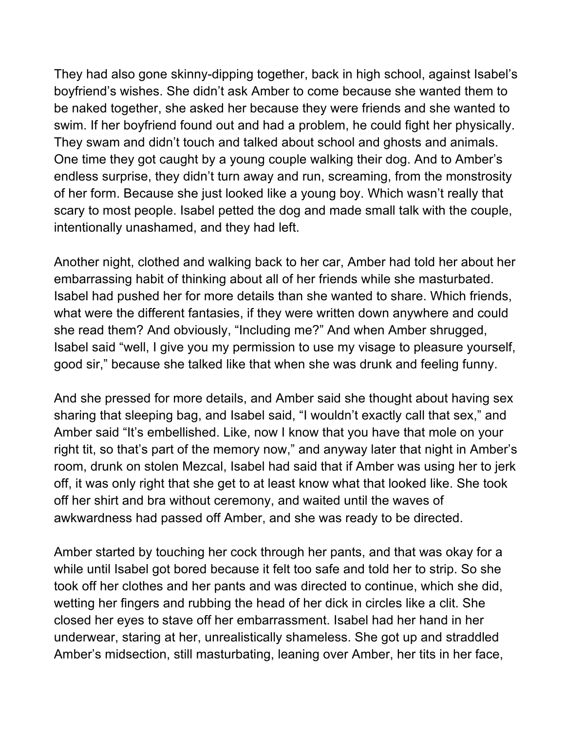They had also gone skinny-dipping together, back in high school, against Isabel's boyfriend's wishes. She didn't ask Amber to come because she wanted them to be naked together, she asked her because they were friends and she wanted to swim. If her boyfriend found out and had a problem, he could fight her physically. They swam and didn't touch and talked about school and ghosts and animals. One time they got caught by a young couple walking their dog. And to Amber's endless surprise, they didn't turn away and run, screaming, from the monstrosity of her form. Because she just looked like a young boy. Which wasn't really that scary to most people. Isabel petted the dog and made small talk with the couple, intentionally unashamed, and they had left.

Another night, clothed and walking back to her car, Amber had told her about her embarrassing habit of thinking about all of her friends while she masturbated. Isabel had pushed her for more details than she wanted to share. Which friends, what were the different fantasies, if they were written down anywhere and could she read them? And obviously, "Including me?" And when Amber shrugged, Isabel said "well, I give you my permission to use my visage to pleasure yourself, good sir," because she talked like that when she was drunk and feeling funny.

And she pressed for more details, and Amber said she thought about having sex sharing that sleeping bag, and Isabel said, "I wouldn't exactly call that sex," and Amber said "It's embellished. Like, now I know that you have that mole on your right tit, so that's part of the memory now," and anyway later that night in Amber's room, drunk on stolen Mezcal, Isabel had said that if Amber was using her to jerk off, it was only right that she get to at least know what that looked like. She took off her shirt and bra without ceremony, and waited until the waves of awkwardness had passed off Amber, and she was ready to be directed.

Amber started by touching her cock through her pants, and that was okay for a while until Isabel got bored because it felt too safe and told her to strip. So she took off her clothes and her pants and was directed to continue, which she did, wetting her fingers and rubbing the head of her dick in circles like a clit. She closed her eyes to stave off her embarrassment. Isabel had her hand in her underwear, staring at her, unrealistically shameless. She got up and straddled Amber's midsection, still masturbating, leaning over Amber, her tits in her face,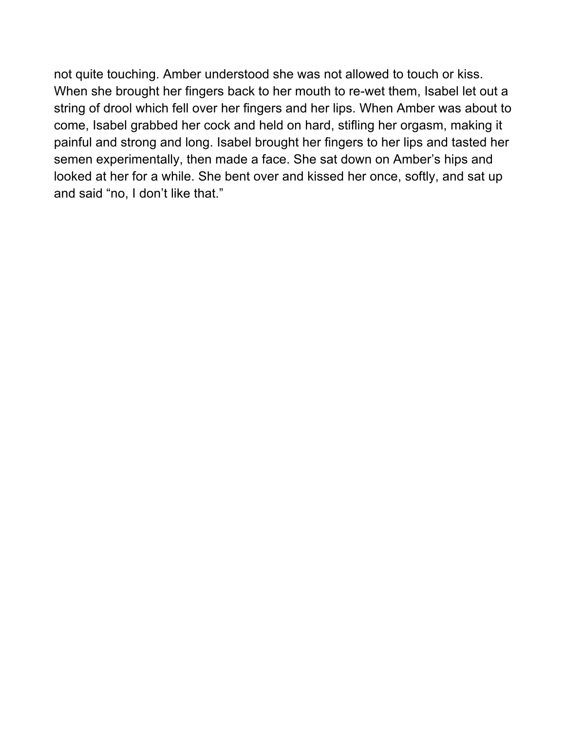not quite touching. Amber understood she was not allowed to touch or kiss. When she brought her fingers back to her mouth to re-wet them, Isabel let out a string of drool which fell over her fingers and her lips. When Amber was about to come, Isabel grabbed her cock and held on hard, stifling her orgasm, making it painful and strong and long. Isabel brought her fingers to her lips and tasted her semen experimentally, then made a face. She sat down on Amber's hips and looked at her for a while. She bent over and kissed her once, softly, and sat up and said "no, I don't like that."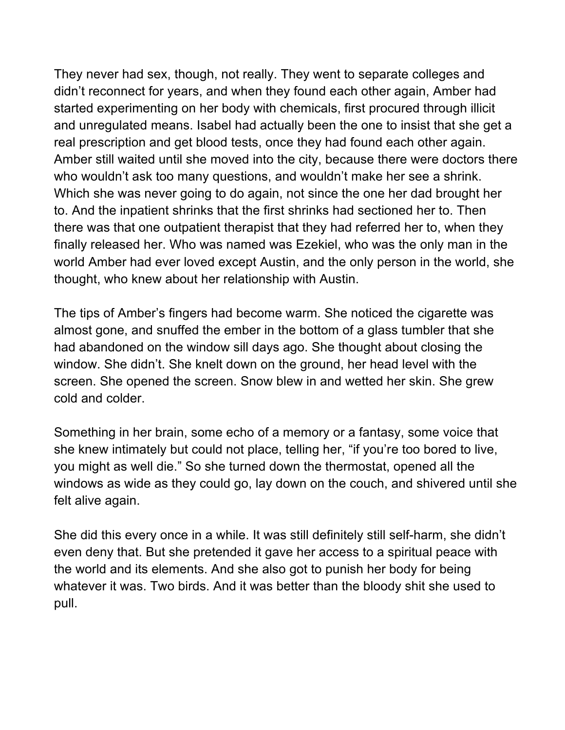They never had sex, though, not really. They went to separate colleges and didn't reconnect for years, and when they found each other again, Amber had started experimenting on her body with chemicals, first procured through illicit and unregulated means. Isabel had actually been the one to insist that she get a real prescription and get blood tests, once they had found each other again. Amber still waited until she moved into the city, because there were doctors there who wouldn't ask too many questions, and wouldn't make her see a shrink. Which she was never going to do again, not since the one her dad brought her to. And the inpatient shrinks that the first shrinks had sectioned her to. Then there was that one outpatient therapist that they had referred her to, when they finally released her. Who was named was Ezekiel, who was the only man in the world Amber had ever loved except Austin, and the only person in the world, she thought, who knew about her relationship with Austin.

The tips of Amber's fingers had become warm. She noticed the cigarette was almost gone, and snuffed the ember in the bottom of a glass tumbler that she had abandoned on the window sill days ago. She thought about closing the window. She didn't. She knelt down on the ground, her head level with the screen. She opened the screen. Snow blew in and wetted her skin. She grew cold and colder.

Something in her brain, some echo of a memory or a fantasy, some voice that she knew intimately but could not place, telling her, "if you're too bored to live, you might as well die." So she turned down the thermostat, opened all the windows as wide as they could go, lay down on the couch, and shivered until she felt alive again.

She did this every once in a while. It was still definitely still self-harm, she didn't even deny that. But she pretended it gave her access to a spiritual peace with the world and its elements. And she also got to punish her body for being whatever it was. Two birds. And it was better than the bloody shit she used to pull.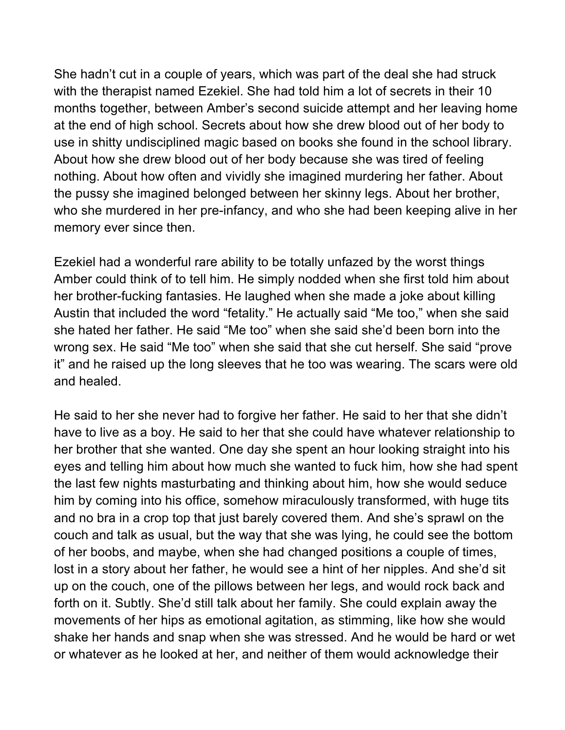She hadn't cut in a couple of years, which was part of the deal she had struck with the therapist named Ezekiel. She had told him a lot of secrets in their 10 months together, between Amber's second suicide attempt and her leaving home at the end of high school. Secrets about how she drew blood out of her body to use in shitty undisciplined magic based on books she found in the school library. About how she drew blood out of her body because she was tired of feeling nothing. About how often and vividly she imagined murdering her father. About the pussy she imagined belonged between her skinny legs. About her brother, who she murdered in her pre-infancy, and who she had been keeping alive in her memory ever since then.

Ezekiel had a wonderful rare ability to be totally unfazed by the worst things Amber could think of to tell him. He simply nodded when she first told him about her brother-fucking fantasies. He laughed when she made a joke about killing Austin that included the word "fetality." He actually said "Me too," when she said she hated her father. He said "Me too" when she said she'd been born into the wrong sex. He said "Me too" when she said that she cut herself. She said "prove it" and he raised up the long sleeves that he too was wearing. The scars were old and healed.

He said to her she never had to forgive her father. He said to her that she didn't have to live as a boy. He said to her that she could have whatever relationship to her brother that she wanted. One day she spent an hour looking straight into his eyes and telling him about how much she wanted to fuck him, how she had spent the last few nights masturbating and thinking about him, how she would seduce him by coming into his office, somehow miraculously transformed, with huge tits and no bra in a crop top that just barely covered them. And she's sprawl on the couch and talk as usual, but the way that she was lying, he could see the bottom of her boobs, and maybe, when she had changed positions a couple of times, lost in a story about her father, he would see a hint of her nipples. And she'd sit up on the couch, one of the pillows between her legs, and would rock back and forth on it. Subtly. She'd still talk about her family. She could explain away the movements of her hips as emotional agitation, as stimming, like how she would shake her hands and snap when she was stressed. And he would be hard or wet or whatever as he looked at her, and neither of them would acknowledge their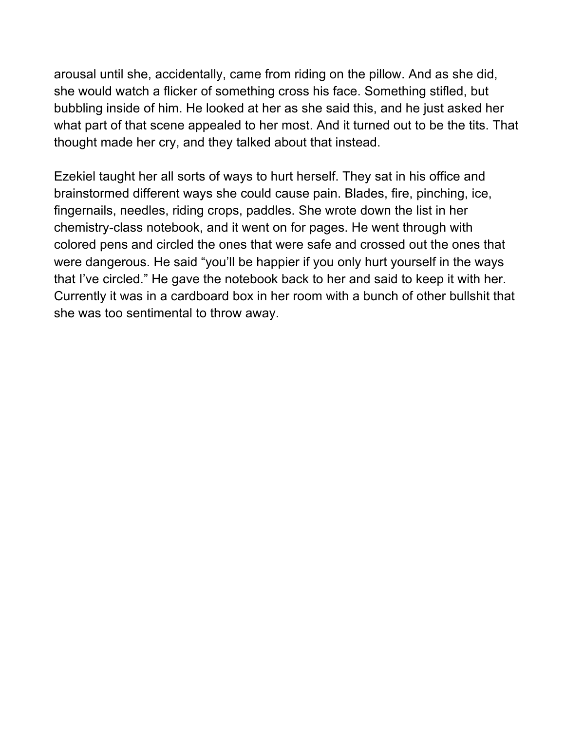arousal until she, accidentally, came from riding on the pillow. And as she did, she would watch a flicker of something cross his face. Something stifled, but bubbling inside of him. He looked at her as she said this, and he just asked her what part of that scene appealed to her most. And it turned out to be the tits. That thought made her cry, and they talked about that instead.

Ezekiel taught her all sorts of ways to hurt herself. They sat in his office and brainstormed different ways she could cause pain. Blades, fire, pinching, ice, fingernails, needles, riding crops, paddles. She wrote down the list in her chemistry-class notebook, and it went on for pages. He went through with colored pens and circled the ones that were safe and crossed out the ones that were dangerous. He said "you'll be happier if you only hurt yourself in the ways that I've circled." He gave the notebook back to her and said to keep it with her. Currently it was in a cardboard box in her room with a bunch of other bullshit that she was too sentimental to throw away.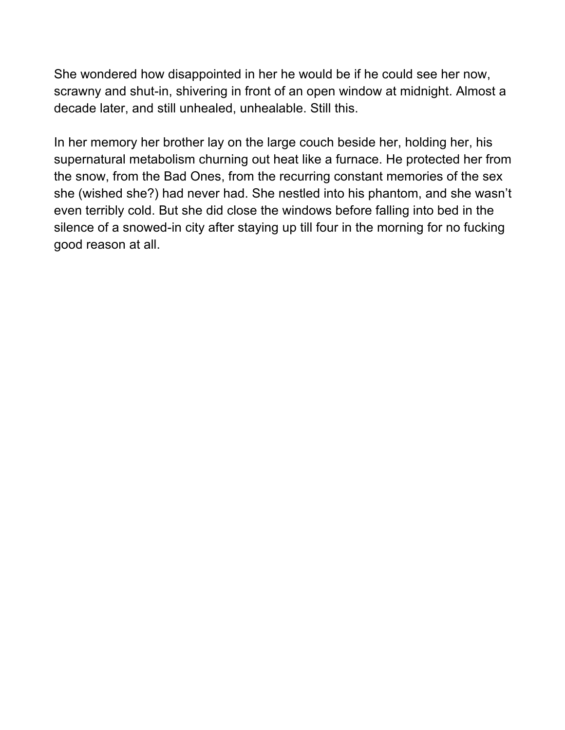She wondered how disappointed in her he would be if he could see her now, scrawny and shut-in, shivering in front of an open window at midnight. Almost a decade later, and still unhealed, unhealable. Still this.

In her memory her brother lay on the large couch beside her, holding her, his supernatural metabolism churning out heat like a furnace. He protected her from the snow, from the Bad Ones, from the recurring constant memories of the sex she (wished she?) had never had. She nestled into his phantom, and she wasn't even terribly cold. But she did close the windows before falling into bed in the silence of a snowed-in city after staying up till four in the morning for no fucking good reason at all.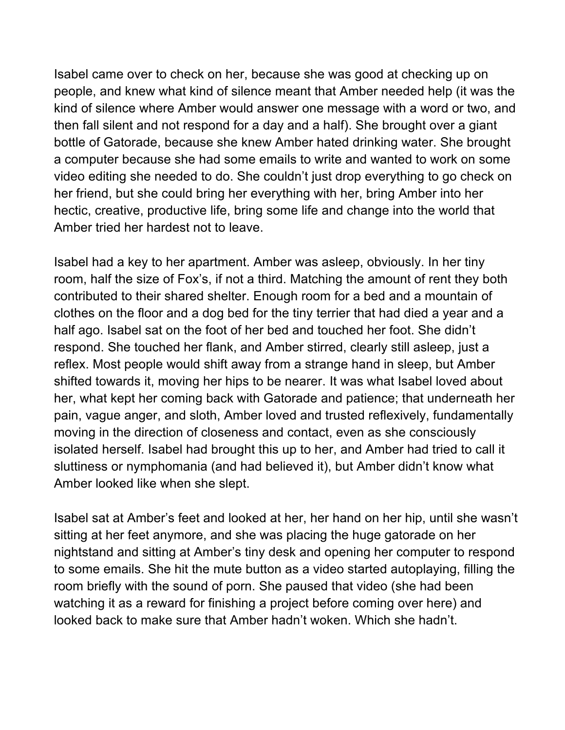Isabel came over to check on her, because she was good at checking up on people, and knew what kind of silence meant that Amber needed help (it was the kind of silence where Amber would answer one message with a word or two, and then fall silent and not respond for a day and a half). She brought over a giant bottle of Gatorade, because she knew Amber hated drinking water. She brought a computer because she had some emails to write and wanted to work on some video editing she needed to do. She couldn't just drop everything to go check on her friend, but she could bring her everything with her, bring Amber into her hectic, creative, productive life, bring some life and change into the world that Amber tried her hardest not to leave.

Isabel had a key to her apartment. Amber was asleep, obviously. In her tiny room, half the size of Fox's, if not a third. Matching the amount of rent they both contributed to their shared shelter. Enough room for a bed and a mountain of clothes on the floor and a dog bed for the tiny terrier that had died a year and a half ago. Isabel sat on the foot of her bed and touched her foot. She didn't respond. She touched her flank, and Amber stirred, clearly still asleep, just a reflex. Most people would shift away from a strange hand in sleep, but Amber shifted towards it, moving her hips to be nearer. It was what Isabel loved about her, what kept her coming back with Gatorade and patience; that underneath her pain, vague anger, and sloth, Amber loved and trusted reflexively, fundamentally moving in the direction of closeness and contact, even as she consciously isolated herself. Isabel had brought this up to her, and Amber had tried to call it sluttiness or nymphomania (and had believed it), but Amber didn't know what Amber looked like when she slept.

Isabel sat at Amber's feet and looked at her, her hand on her hip, until she wasn't sitting at her feet anymore, and she was placing the huge gatorade on her nightstand and sitting at Amber's tiny desk and opening her computer to respond to some emails. She hit the mute button as a video started autoplaying, filling the room briefly with the sound of porn. She paused that video (she had been watching it as a reward for finishing a project before coming over here) and looked back to make sure that Amber hadn't woken. Which she hadn't.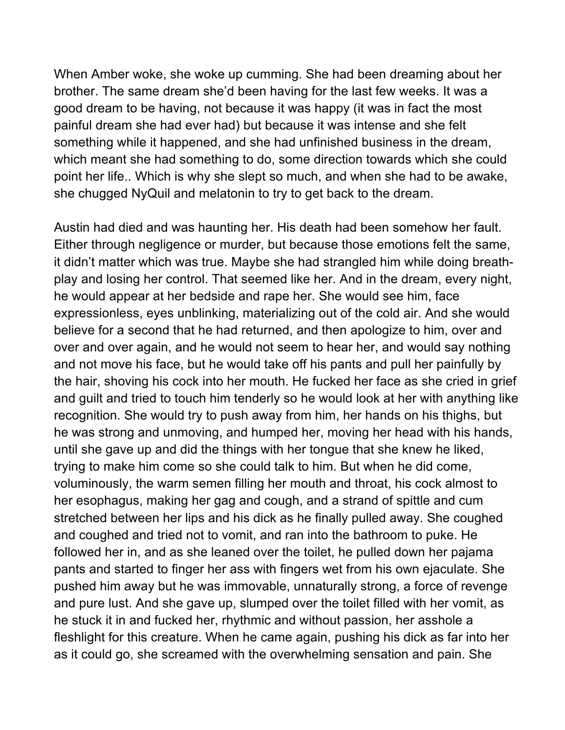When Amber woke, she woke up cumming. She had been dreaming about her brother. The same dream she'd been having for the last few weeks. It was a good dream to be having, not because it was happy (it was in fact the most painful dream she had ever had) but because it was intense and she felt something while it happened, and she had unfinished business in the dream, which meant she had something to do, some direction towards which she could point her life.. Which is why she slept so much, and when she had to be awake, she chugged NyQuil and melatonin to try to get back to the dream.

Austin had died and was haunting her. His death had been somehow her fault. Either through negligence or murder, but because those emotions felt the same, it didn't matter which was true. Maybe she had strangled him while doing breathplay and losing her control. That seemed like her. And in the dream, every night, he would appear at her bedside and rape her. She would see him, face expressionless, eyes unblinking, materializing out of the cold air. And she would believe for a second that he had returned, and then apologize to him, over and over and over again, and he would not seem to hear her, and would say nothing and not move his face, but he would take off his pants and pull her painfully by the hair, shoving his cock into her mouth. He fucked her face as she cried in grief and guilt and tried to touch him tenderly so he would look at her with anything like recognition. She would try to push away from him, her hands on his thighs, but he was strong and unmoving, and humped her, moving her head with his hands, until she gave up and did the things with her tongue that she knew he liked, trying to make him come so she could talk to him. But when he did come, voluminously, the warm semen filling her mouth and throat, his cock almost to her esophagus, making her gag and cough, and a strand of spittle and cum stretched between her lips and his dick as he finally pulled away. She coughed and coughed and tried not to vomit, and ran into the bathroom to puke. He followed her in, and as she leaned over the toilet, he pulled down her pajama pants and started to finger her ass with fingers wet from his own ejaculate. She pushed him away but he was immovable, unnaturally strong, a force of revenge and pure lust. And she gave up, slumped over the toilet filled with her vomit, as he stuck it in and fucked her, rhythmic and without passion, her asshole a fleshlight for this creature. When he came again, pushing his dick as far into her as it could go, she screamed with the overwhelming sensation and pain. She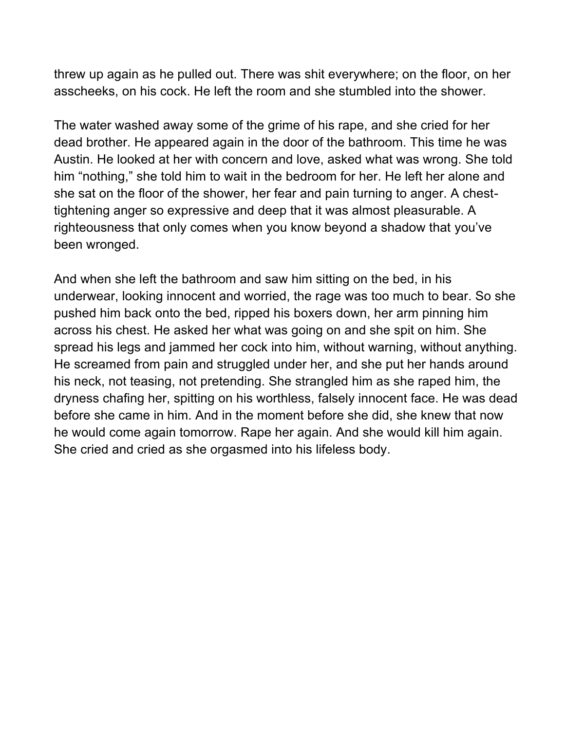threw up again as he pulled out. There was shit everywhere; on the floor, on her asscheeks, on his cock. He left the room and she stumbled into the shower.

The water washed away some of the grime of his rape, and she cried for her dead brother. He appeared again in the door of the bathroom. This time he was Austin. He looked at her with concern and love, asked what was wrong. She told him "nothing," she told him to wait in the bedroom for her. He left her alone and she sat on the floor of the shower, her fear and pain turning to anger. A chesttightening anger so expressive and deep that it was almost pleasurable. A righteousness that only comes when you know beyond a shadow that you've been wronged.

And when she left the bathroom and saw him sitting on the bed, in his underwear, looking innocent and worried, the rage was too much to bear. So she pushed him back onto the bed, ripped his boxers down, her arm pinning him across his chest. He asked her what was going on and she spit on him. She spread his legs and jammed her cock into him, without warning, without anything. He screamed from pain and struggled under her, and she put her hands around his neck, not teasing, not pretending. She strangled him as she raped him, the dryness chafing her, spitting on his worthless, falsely innocent face. He was dead before she came in him. And in the moment before she did, she knew that now he would come again tomorrow. Rape her again. And she would kill him again. She cried and cried as she orgasmed into his lifeless body.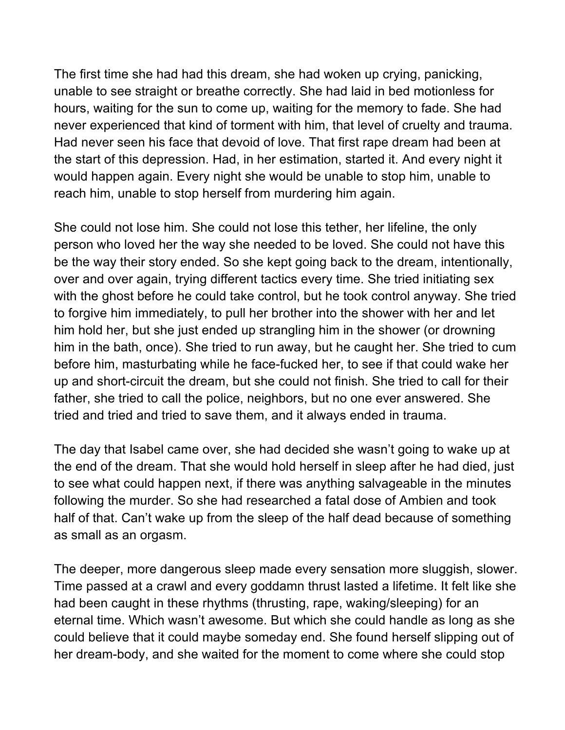The first time she had had this dream, she had woken up crying, panicking, unable to see straight or breathe correctly. She had laid in bed motionless for hours, waiting for the sun to come up, waiting for the memory to fade. She had never experienced that kind of torment with him, that level of cruelty and trauma. Had never seen his face that devoid of love. That first rape dream had been at the start of this depression. Had, in her estimation, started it. And every night it would happen again. Every night she would be unable to stop him, unable to reach him, unable to stop herself from murdering him again.

She could not lose him. She could not lose this tether, her lifeline, the only person who loved her the way she needed to be loved. She could not have this be the way their story ended. So she kept going back to the dream, intentionally, over and over again, trying different tactics every time. She tried initiating sex with the ghost before he could take control, but he took control anyway. She tried to forgive him immediately, to pull her brother into the shower with her and let him hold her, but she just ended up strangling him in the shower (or drowning him in the bath, once). She tried to run away, but he caught her. She tried to cum before him, masturbating while he face-fucked her, to see if that could wake her up and short-circuit the dream, but she could not finish. She tried to call for their father, she tried to call the police, neighbors, but no one ever answered. She tried and tried and tried to save them, and it always ended in trauma.

The day that Isabel came over, she had decided she wasn't going to wake up at the end of the dream. That she would hold herself in sleep after he had died, just to see what could happen next, if there was anything salvageable in the minutes following the murder. So she had researched a fatal dose of Ambien and took half of that. Can't wake up from the sleep of the half dead because of something as small as an orgasm.

The deeper, more dangerous sleep made every sensation more sluggish, slower. Time passed at a crawl and every goddamn thrust lasted a lifetime. It felt like she had been caught in these rhythms (thrusting, rape, waking/sleeping) for an eternal time. Which wasn't awesome. But which she could handle as long as she could believe that it could maybe someday end. She found herself slipping out of her dream-body, and she waited for the moment to come where she could stop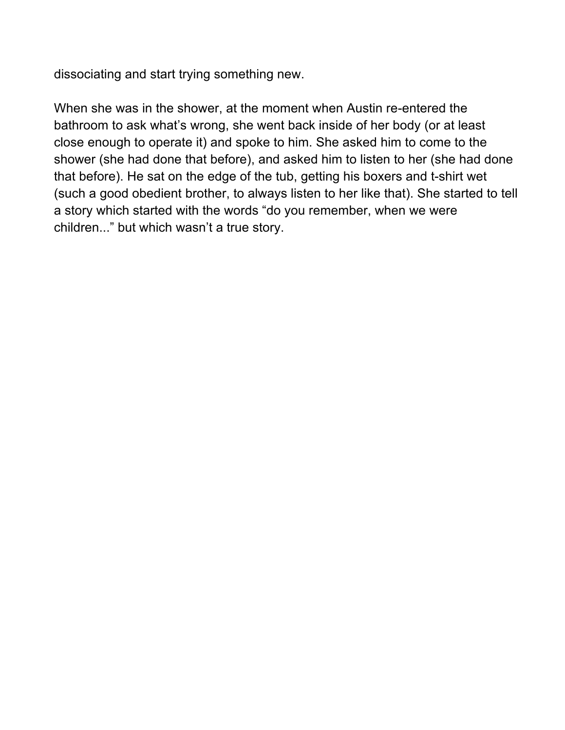dissociating and start trying something new.

When she was in the shower, at the moment when Austin re-entered the bathroom to ask what's wrong, she went back inside of her body (or at least close enough to operate it) and spoke to him. She asked him to come to the shower (she had done that before), and asked him to listen to her (she had done that before). He sat on the edge of the tub, getting his boxers and t-shirt wet (such a good obedient brother, to always listen to her like that). She started to tell a story which started with the words "do you remember, when we were children..." but which wasn't a true story.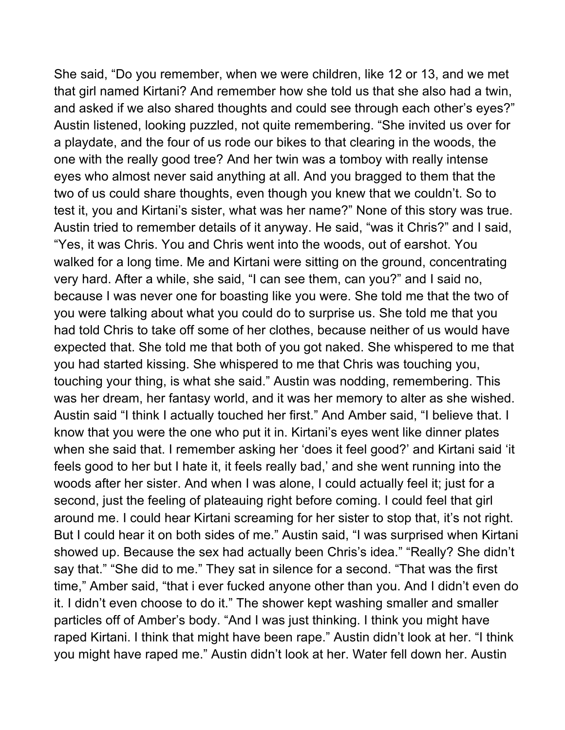She said, "Do you remember, when we were children, like 12 or 13, and we met that girl named Kirtani? And remember how she told us that she also had a twin, and asked if we also shared thoughts and could see through each other's eyes?" Austin listened, looking puzzled, not quite remembering. "She invited us over for a playdate, and the four of us rode our bikes to that clearing in the woods, the one with the really good tree? And her twin was a tomboy with really intense eyes who almost never said anything at all. And you bragged to them that the two of us could share thoughts, even though you knew that we couldn't. So to test it, you and Kirtani's sister, what was her name?" None of this story was true. Austin tried to remember details of it anyway. He said, "was it Chris?" and I said, "Yes, it was Chris. You and Chris went into the woods, out of earshot. You walked for a long time. Me and Kirtani were sitting on the ground, concentrating very hard. After a while, she said, "I can see them, can you?" and I said no, because I was never one for boasting like you were. She told me that the two of you were talking about what you could do to surprise us. She told me that you had told Chris to take off some of her clothes, because neither of us would have expected that. She told me that both of you got naked. She whispered to me that you had started kissing. She whispered to me that Chris was touching you, touching your thing, is what she said." Austin was nodding, remembering. This was her dream, her fantasy world, and it was her memory to alter as she wished. Austin said "I think I actually touched her first." And Amber said, "I believe that. I know that you were the one who put it in. Kirtani's eyes went like dinner plates when she said that. I remember asking her 'does it feel good?' and Kirtani said 'it feels good to her but I hate it, it feels really bad,' and she went running into the woods after her sister. And when I was alone, I could actually feel it; just for a second, just the feeling of plateauing right before coming. I could feel that girl around me. I could hear Kirtani screaming for her sister to stop that, it's not right. But I could hear it on both sides of me." Austin said, "I was surprised when Kirtani showed up. Because the sex had actually been Chris's idea." "Really? She didn't say that." "She did to me." They sat in silence for a second. "That was the first time," Amber said, "that i ever fucked anyone other than you. And I didn't even do it. I didn't even choose to do it." The shower kept washing smaller and smaller particles off of Amber's body. "And I was just thinking. I think you might have raped Kirtani. I think that might have been rape." Austin didn't look at her. "I think you might have raped me." Austin didn't look at her. Water fell down her. Austin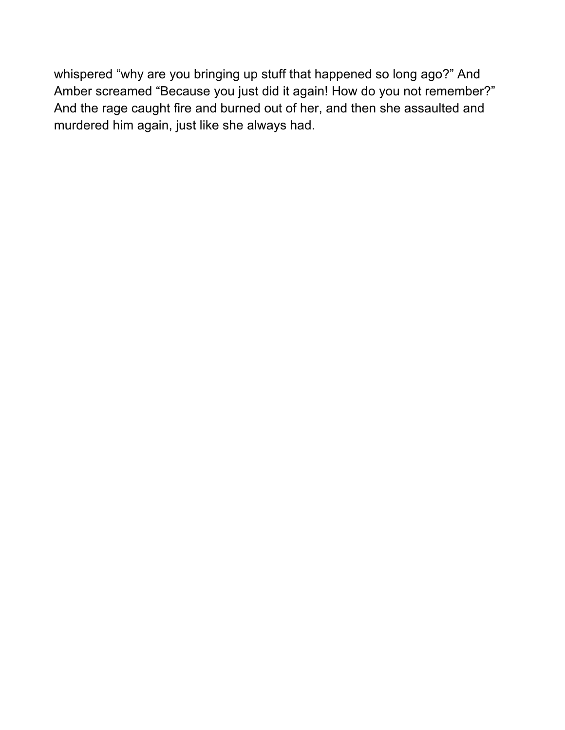whispered "why are you bringing up stuff that happened so long ago?" And Amber screamed "Because you just did it again! How do you not remember?" And the rage caught fire and burned out of her, and then she assaulted and murdered him again, just like she always had.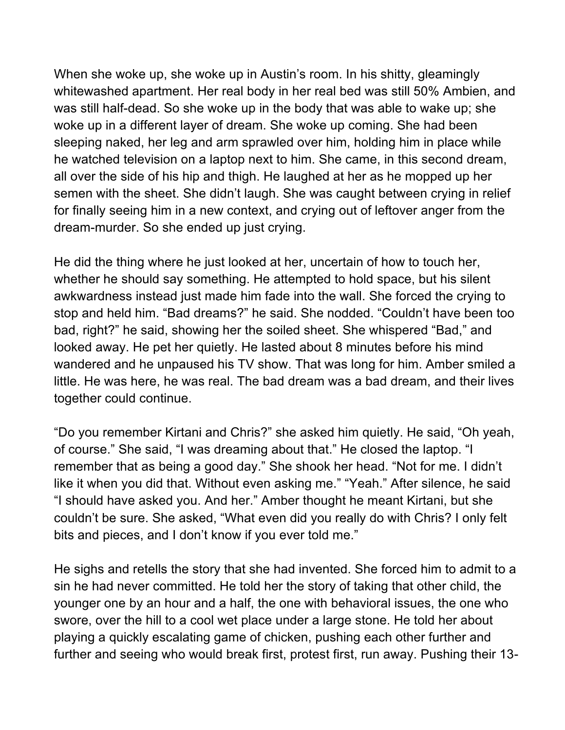When she woke up, she woke up in Austin's room. In his shitty, gleamingly whitewashed apartment. Her real body in her real bed was still 50% Ambien, and was still half-dead. So she woke up in the body that was able to wake up; she woke up in a different layer of dream. She woke up coming. She had been sleeping naked, her leg and arm sprawled over him, holding him in place while he watched television on a laptop next to him. She came, in this second dream, all over the side of his hip and thigh. He laughed at her as he mopped up her semen with the sheet. She didn't laugh. She was caught between crying in relief for finally seeing him in a new context, and crying out of leftover anger from the dream-murder. So she ended up just crying.

He did the thing where he just looked at her, uncertain of how to touch her, whether he should say something. He attempted to hold space, but his silent awkwardness instead just made him fade into the wall. She forced the crying to stop and held him. "Bad dreams?" he said. She nodded. "Couldn't have been too bad, right?" he said, showing her the soiled sheet. She whispered "Bad," and looked away. He pet her quietly. He lasted about 8 minutes before his mind wandered and he unpaused his TV show. That was long for him. Amber smiled a little. He was here, he was real. The bad dream was a bad dream, and their lives together could continue.

"Do you remember Kirtani and Chris?" she asked him quietly. He said, "Oh yeah, of course." She said, "I was dreaming about that." He closed the laptop. "I remember that as being a good day." She shook her head. "Not for me. I didn't like it when you did that. Without even asking me." "Yeah." After silence, he said "I should have asked you. And her." Amber thought he meant Kirtani, but she couldn't be sure. She asked, "What even did you really do with Chris? I only felt bits and pieces, and I don't know if you ever told me."

He sighs and retells the story that she had invented. She forced him to admit to a sin he had never committed. He told her the story of taking that other child, the younger one by an hour and a half, the one with behavioral issues, the one who swore, over the hill to a cool wet place under a large stone. He told her about playing a quickly escalating game of chicken, pushing each other further and further and seeing who would break first, protest first, run away. Pushing their 13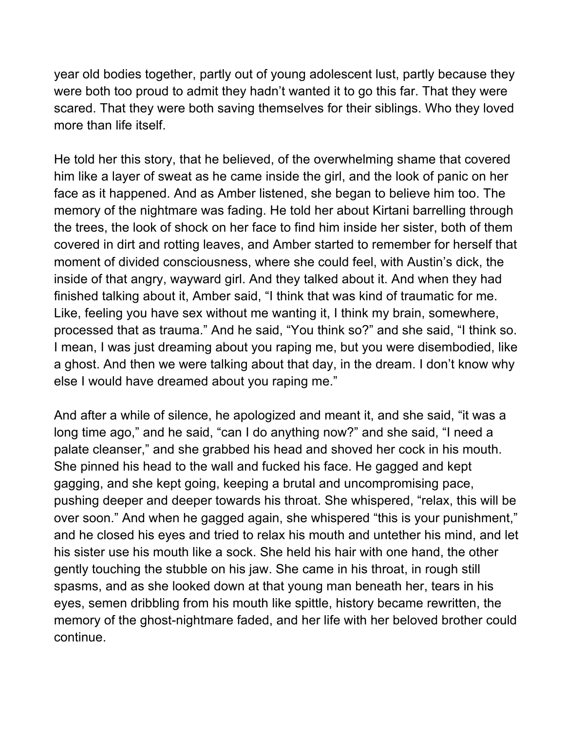year old bodies together, partly out of young adolescent lust, partly because they were both too proud to admit they hadn't wanted it to go this far. That they were scared. That they were both saving themselves for their siblings. Who they loved more than life itself.

He told her this story, that he believed, of the overwhelming shame that covered him like a layer of sweat as he came inside the girl, and the look of panic on her face as it happened. And as Amber listened, she began to believe him too. The memory of the nightmare was fading. He told her about Kirtani barrelling through the trees, the look of shock on her face to find him inside her sister, both of them covered in dirt and rotting leaves, and Amber started to remember for herself that moment of divided consciousness, where she could feel, with Austin's dick, the inside of that angry, wayward girl. And they talked about it. And when they had finished talking about it, Amber said, "I think that was kind of traumatic for me. Like, feeling you have sex without me wanting it, I think my brain, somewhere, processed that as trauma." And he said, "You think so?" and she said, "I think so. I mean, I was just dreaming about you raping me, but you were disembodied, like a ghost. And then we were talking about that day, in the dream. I don't know why else I would have dreamed about you raping me."

And after a while of silence, he apologized and meant it, and she said, "it was a long time ago," and he said, "can I do anything now?" and she said, "I need a palate cleanser," and she grabbed his head and shoved her cock in his mouth. She pinned his head to the wall and fucked his face. He gagged and kept gagging, and she kept going, keeping a brutal and uncompromising pace, pushing deeper and deeper towards his throat. She whispered, "relax, this will be over soon." And when he gagged again, she whispered "this is your punishment," and he closed his eyes and tried to relax his mouth and untether his mind, and let his sister use his mouth like a sock. She held his hair with one hand, the other gently touching the stubble on his jaw. She came in his throat, in rough still spasms, and as she looked down at that young man beneath her, tears in his eyes, semen dribbling from his mouth like spittle, history became rewritten, the memory of the ghost-nightmare faded, and her life with her beloved brother could continue.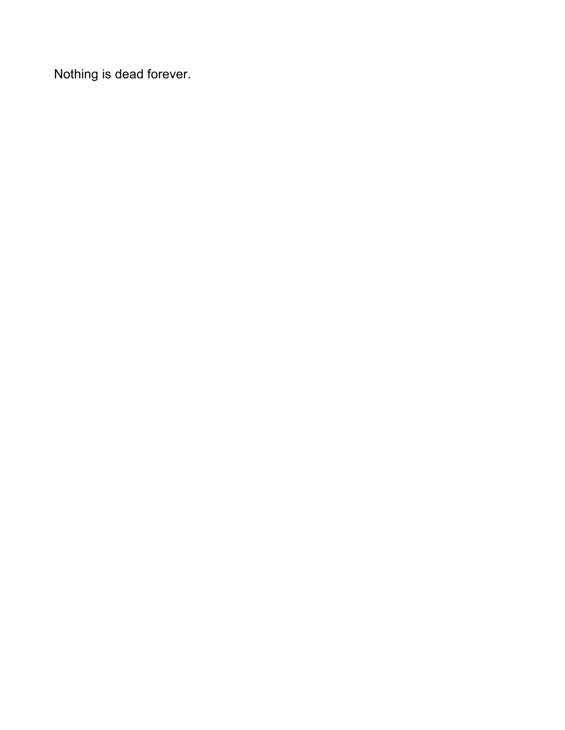Nothing is dead forever.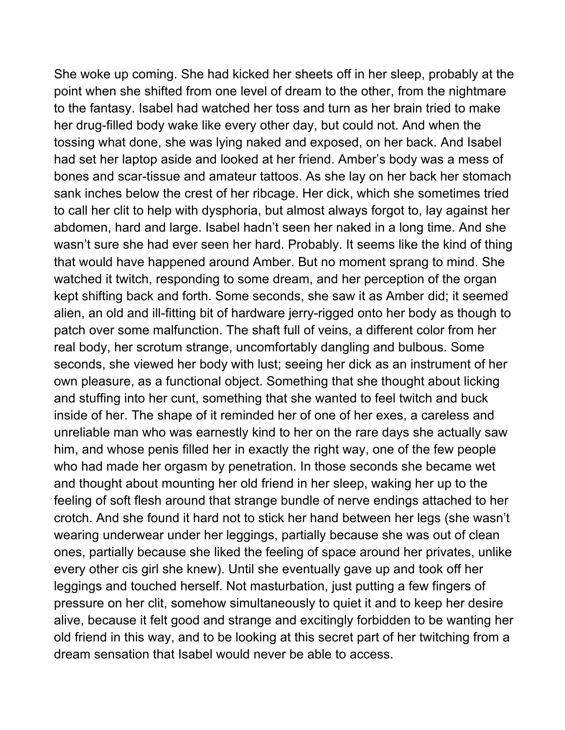She woke up coming. She had kicked her sheets off in her sleep, probably at the point when she shifted from one level of dream to the other, from the nightmare to the fantasy. Isabel had watched her toss and turn as her brain tried to make her drug-filled body wake like every other day, but could not. And when the tossing what done, she was lying naked and exposed, on her back. And Isabel had set her laptop aside and looked at her friend. Amber's body was a mess of bones and scar-tissue and amateur tattoos. As she lay on her back her stomach sank inches below the crest of her ribcage. Her dick, which she sometimes tried to call her clit to help with dysphoria, but almost always forgot to, lay against her abdomen, hard and large. Isabel hadn't seen her naked in a long time. And she wasn't sure she had ever seen her hard. Probably. It seems like the kind of thing that would have happened around Amber. But no moment sprang to mind. She watched it twitch, responding to some dream, and her perception of the organ kept shifting back and forth. Some seconds, she saw it as Amber did; it seemed alien, an old and ill-fitting bit of hardware jerry-rigged onto her body as though to patch over some malfunction. The shaft full of veins, a different color from her real body, her scrotum strange, uncomfortably dangling and bulbous. Some seconds, she viewed her body with lust; seeing her dick as an instrument of her own pleasure, as a functional object. Something that she thought about licking and stuffing into her cunt, something that she wanted to feel twitch and buck inside of her. The shape of it reminded her of one of her exes, a careless and unreliable man who was earnestly kind to her on the rare days she actually saw him, and whose penis filled her in exactly the right way, one of the few people who had made her orgasm by penetration. In those seconds she became wet and thought about mounting her old friend in her sleep, waking her up to the feeling of soft flesh around that strange bundle of nerve endings attached to her crotch. And she found it hard not to stick her hand between her legs (she wasn't wearing underwear under her leggings, partially because she was out of clean ones, partially because she liked the feeling of space around her privates, unlike every other cis girl she knew). Until she eventually gave up and took off her leggings and touched herself. Not masturbation, just putting a few fingers of pressure on her clit, somehow simultaneously to quiet it and to keep her desire alive, because it felt good and strange and excitingly forbidden to be wanting her old friend in this way, and to be looking at this secret part of her twitching from a dream sensation that Isabel would never be able to access.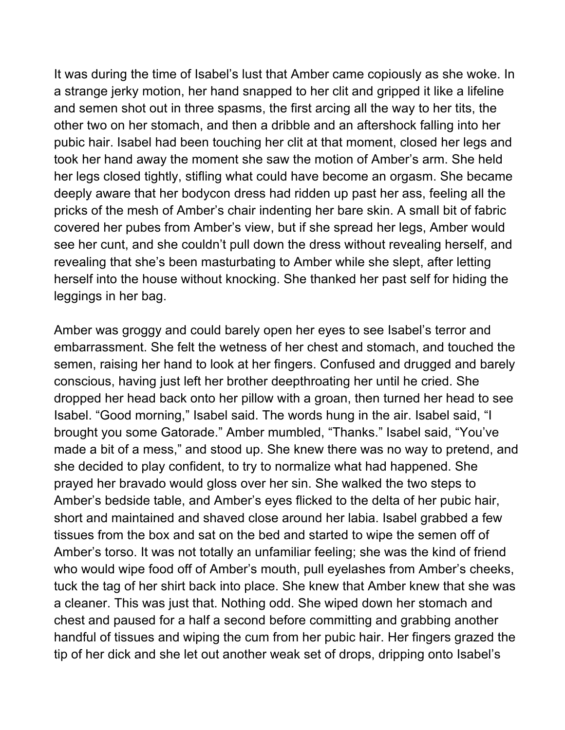It was during the time of Isabel's lust that Amber came copiously as she woke. In a strange jerky motion, her hand snapped to her clit and gripped it like a lifeline and semen shot out in three spasms, the first arcing all the way to her tits, the other two on her stomach, and then a dribble and an aftershock falling into her pubic hair. Isabel had been touching her clit at that moment, closed her legs and took her hand away the moment she saw the motion of Amber's arm. She held her legs closed tightly, stifling what could have become an orgasm. She became deeply aware that her bodycon dress had ridden up past her ass, feeling all the pricks of the mesh of Amber's chair indenting her bare skin. A small bit of fabric covered her pubes from Amber's view, but if she spread her legs, Amber would see her cunt, and she couldn't pull down the dress without revealing herself, and revealing that she's been masturbating to Amber while she slept, after letting herself into the house without knocking. She thanked her past self for hiding the leggings in her bag.

Amber was groggy and could barely open her eyes to see Isabel's terror and embarrassment. She felt the wetness of her chest and stomach, and touched the semen, raising her hand to look at her fingers. Confused and drugged and barely conscious, having just left her brother deepthroating her until he cried. She dropped her head back onto her pillow with a groan, then turned her head to see Isabel. "Good morning," Isabel said. The words hung in the air. Isabel said, "I brought you some Gatorade." Amber mumbled, "Thanks." Isabel said, "You've made a bit of a mess," and stood up. She knew there was no way to pretend, and she decided to play confident, to try to normalize what had happened. She prayed her bravado would gloss over her sin. She walked the two steps to Amber's bedside table, and Amber's eyes flicked to the delta of her pubic hair, short and maintained and shaved close around her labia. Isabel grabbed a few tissues from the box and sat on the bed and started to wipe the semen off of Amber's torso. It was not totally an unfamiliar feeling; she was the kind of friend who would wipe food off of Amber's mouth, pull eyelashes from Amber's cheeks, tuck the tag of her shirt back into place. She knew that Amber knew that she was a cleaner. This was just that. Nothing odd. She wiped down her stomach and chest and paused for a half a second before committing and grabbing another handful of tissues and wiping the cum from her pubic hair. Her fingers grazed the tip of her dick and she let out another weak set of drops, dripping onto Isabel's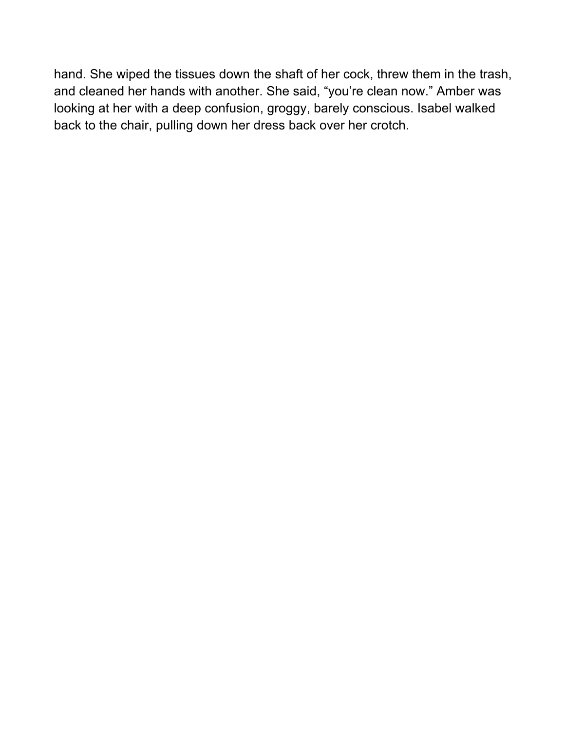hand. She wiped the tissues down the shaft of her cock, threw them in the trash, and cleaned her hands with another. She said, "you're clean now." Amber was looking at her with a deep confusion, groggy, barely conscious. Isabel walked back to the chair, pulling down her dress back over her crotch.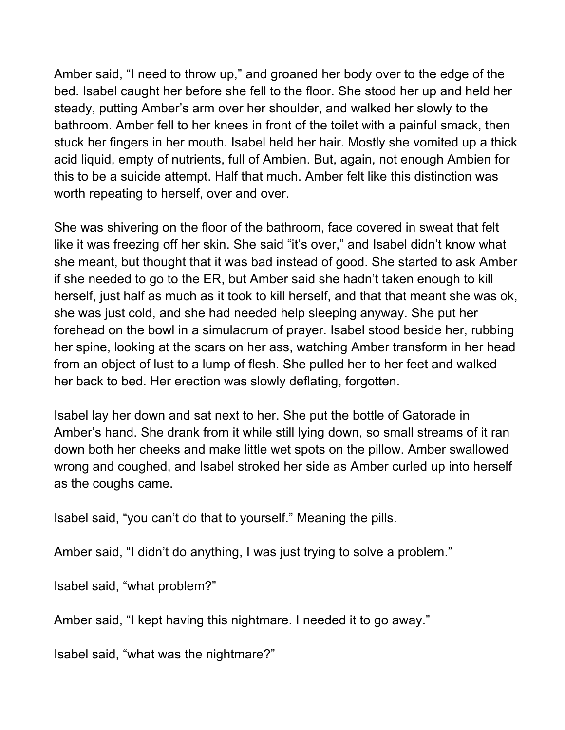Amber said, "I need to throw up," and groaned her body over to the edge of the bed. Isabel caught her before she fell to the floor. She stood her up and held her steady, putting Amber's arm over her shoulder, and walked her slowly to the bathroom. Amber fell to her knees in front of the toilet with a painful smack, then stuck her fingers in her mouth. Isabel held her hair. Mostly she vomited up a thick acid liquid, empty of nutrients, full of Ambien. But, again, not enough Ambien for this to be a suicide attempt. Half that much. Amber felt like this distinction was worth repeating to herself, over and over.

She was shivering on the floor of the bathroom, face covered in sweat that felt like it was freezing off her skin. She said "it's over," and Isabel didn't know what she meant, but thought that it was bad instead of good. She started to ask Amber if she needed to go to the ER, but Amber said she hadn't taken enough to kill herself, just half as much as it took to kill herself, and that that meant she was ok, she was just cold, and she had needed help sleeping anyway. She put her forehead on the bowl in a simulacrum of prayer. Isabel stood beside her, rubbing her spine, looking at the scars on her ass, watching Amber transform in her head from an object of lust to a lump of flesh. She pulled her to her feet and walked her back to bed. Her erection was slowly deflating, forgotten.

Isabel lay her down and sat next to her. She put the bottle of Gatorade in Amber's hand. She drank from it while still lying down, so small streams of it ran down both her cheeks and make little wet spots on the pillow. Amber swallowed wrong and coughed, and Isabel stroked her side as Amber curled up into herself as the coughs came.

Isabel said, "you can't do that to yourself." Meaning the pills.

Amber said, "I didn't do anything, I was just trying to solve a problem."

Isabel said, "what problem?"

Amber said, "I kept having this nightmare. I needed it to go away."

Isabel said, "what was the nightmare?"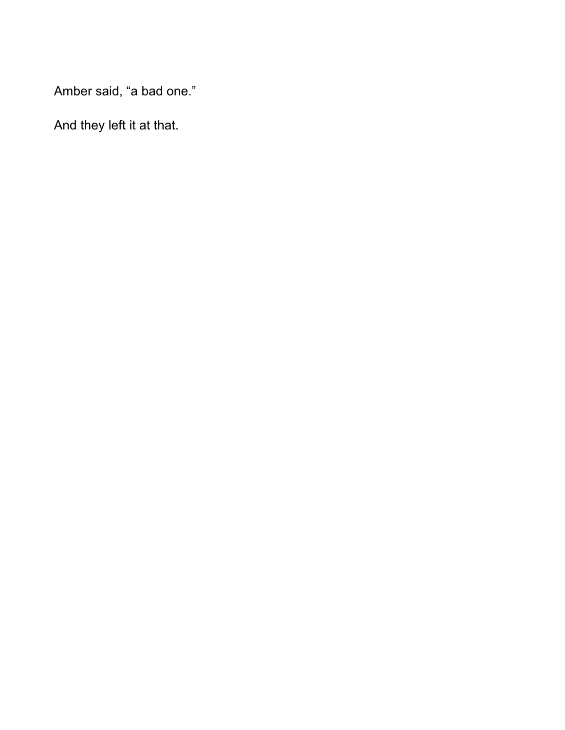Amber said, "a bad one."

And they left it at that.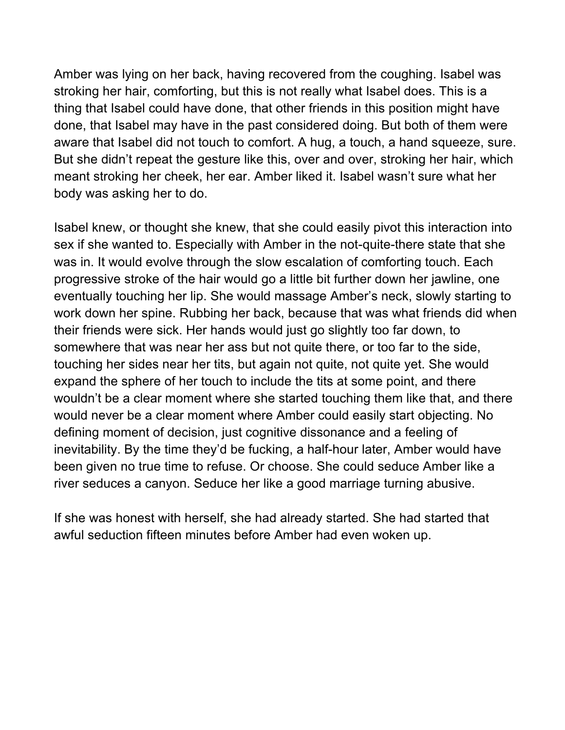Amber was lying on her back, having recovered from the coughing. Isabel was stroking her hair, comforting, but this is not really what Isabel does. This is a thing that Isabel could have done, that other friends in this position might have done, that Isabel may have in the past considered doing. But both of them were aware that Isabel did not touch to comfort. A hug, a touch, a hand squeeze, sure. But she didn't repeat the gesture like this, over and over, stroking her hair, which meant stroking her cheek, her ear. Amber liked it. Isabel wasn't sure what her body was asking her to do.

Isabel knew, or thought she knew, that she could easily pivot this interaction into sex if she wanted to. Especially with Amber in the not-quite-there state that she was in. It would evolve through the slow escalation of comforting touch. Each progressive stroke of the hair would go a little bit further down her jawline, one eventually touching her lip. She would massage Amber's neck, slowly starting to work down her spine. Rubbing her back, because that was what friends did when their friends were sick. Her hands would just go slightly too far down, to somewhere that was near her ass but not quite there, or too far to the side, touching her sides near her tits, but again not quite, not quite yet. She would expand the sphere of her touch to include the tits at some point, and there wouldn't be a clear moment where she started touching them like that, and there would never be a clear moment where Amber could easily start objecting. No defining moment of decision, just cognitive dissonance and a feeling of inevitability. By the time they'd be fucking, a half-hour later, Amber would have been given no true time to refuse. Or choose. She could seduce Amber like a river seduces a canyon. Seduce her like a good marriage turning abusive.

If she was honest with herself, she had already started. She had started that awful seduction fifteen minutes before Amber had even woken up.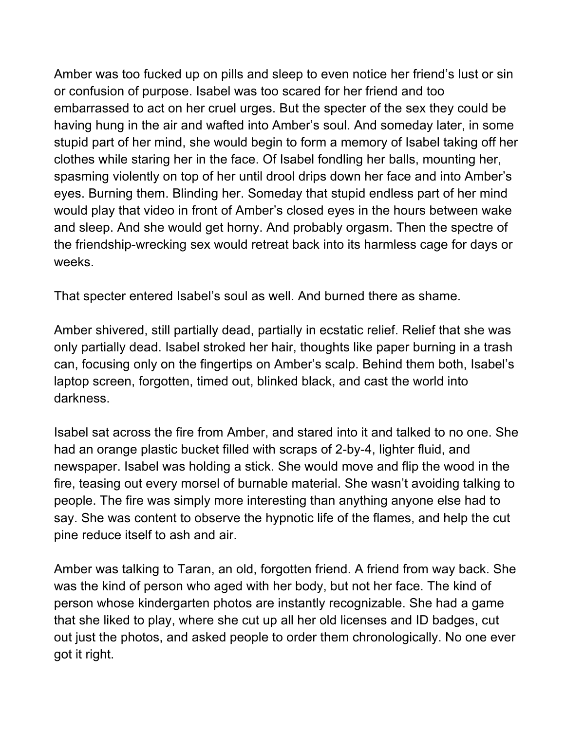Amber was too fucked up on pills and sleep to even notice her friend's lust or sin or confusion of purpose. Isabel was too scared for her friend and too embarrassed to act on her cruel urges. But the specter of the sex they could be having hung in the air and wafted into Amber's soul. And someday later, in some stupid part of her mind, she would begin to form a memory of Isabel taking off her clothes while staring her in the face. Of Isabel fondling her balls, mounting her, spasming violently on top of her until drool drips down her face and into Amber's eyes. Burning them. Blinding her. Someday that stupid endless part of her mind would play that video in front of Amber's closed eyes in the hours between wake and sleep. And she would get horny. And probably orgasm. Then the spectre of the friendship-wrecking sex would retreat back into its harmless cage for days or weeks.

That specter entered Isabel's soul as well. And burned there as shame.

Amber shivered, still partially dead, partially in ecstatic relief. Relief that she was only partially dead. Isabel stroked her hair, thoughts like paper burning in a trash can, focusing only on the fingertips on Amber's scalp. Behind them both, Isabel's laptop screen, forgotten, timed out, blinked black, and cast the world into darkness.

Isabel sat across the fire from Amber, and stared into it and talked to no one. She had an orange plastic bucket filled with scraps of 2-by-4, lighter fluid, and newspaper. Isabel was holding a stick. She would move and flip the wood in the fire, teasing out every morsel of burnable material. She wasn't avoiding talking to people. The fire was simply more interesting than anything anyone else had to say. She was content to observe the hypnotic life of the flames, and help the cut pine reduce itself to ash and air.

Amber was talking to Taran, an old, forgotten friend. A friend from way back. She was the kind of person who aged with her body, but not her face. The kind of person whose kindergarten photos are instantly recognizable. She had a game that she liked to play, where she cut up all her old licenses and ID badges, cut out just the photos, and asked people to order them chronologically. No one ever got it right.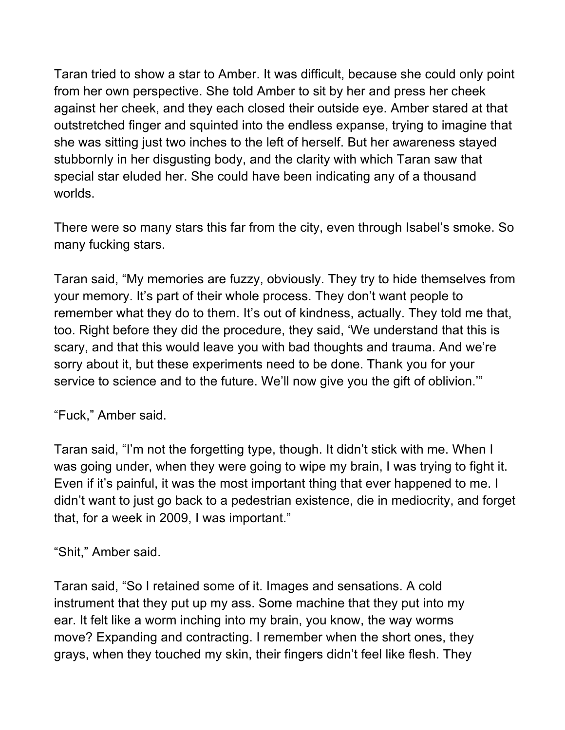Taran tried to show a star to Amber. It was difficult, because she could only point from her own perspective. She told Amber to sit by her and press her cheek against her cheek, and they each closed their outside eye. Amber stared at that outstretched finger and squinted into the endless expanse, trying to imagine that she was sitting just two inches to the left of herself. But her awareness stayed stubbornly in her disgusting body, and the clarity with which Taran saw that special star eluded her. She could have been indicating any of a thousand worlds.

There were so many stars this far from the city, even through Isabel's smoke. So many fucking stars.

Taran said, "My memories are fuzzy, obviously. They try to hide themselves from your memory. It's part of their whole process. They don't want people to remember what they do to them. It's out of kindness, actually. They told me that, too. Right before they did the procedure, they said, 'We understand that this is scary, and that this would leave you with bad thoughts and trauma. And we're sorry about it, but these experiments need to be done. Thank you for your service to science and to the future. We'll now give you the gift of oblivion.'"

"Fuck," Amber said.

Taran said, "I'm not the forgetting type, though. It didn't stick with me. When I was going under, when they were going to wipe my brain, I was trying to fight it. Even if it's painful, it was the most important thing that ever happened to me. I didn't want to just go back to a pedestrian existence, die in mediocrity, and forget that, for a week in 2009, I was important."

"Shit," Amber said.

Taran said, "So I retained some of it. Images and sensations. A cold instrument that they put up my ass. Some machine that they put into my ear. It felt like a worm inching into my brain, you know, the way worms move? Expanding and contracting. I remember when the short ones, they grays, when they touched my skin, their fingers didn't feel like flesh. They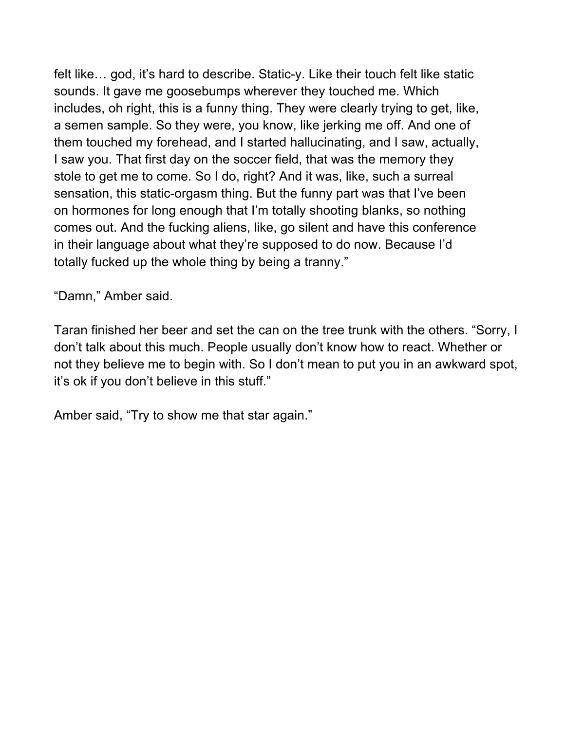felt like… god, it's hard to describe. Static-y. Like their touch felt like static sounds. It gave me goosebumps wherever they touched me. Which includes, oh right, this is a funny thing. They were clearly trying to get, like, a semen sample. So they were, you know, like jerking me off. And one of them touched my forehead, and I started hallucinating, and I saw, actually, I saw you. That first day on the soccer field, that was the memory they stole to get me to come. So I do, right? And it was, like, such a surreal sensation, this static-orgasm thing. But the funny part was that I've been on hormones for long enough that I'm totally shooting blanks, so nothing comes out. And the fucking aliens, like, go silent and have this conference in their language about what they're supposed to do now. Because I'd totally fucked up the whole thing by being a tranny."

"Damn," Amber said.

Taran finished her beer and set the can on the tree trunk with the others. "Sorry, I don't talk about this much. People usually don't know how to react. Whether or not they believe me to begin with. So I don't mean to put you in an awkward spot, it's ok if you don't believe in this stuff."

Amber said, "Try to show me that star again."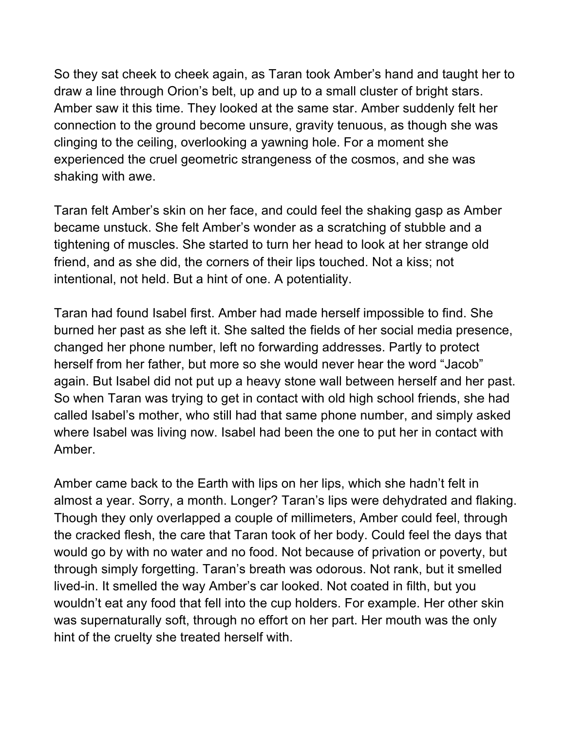So they sat cheek to cheek again, as Taran took Amber's hand and taught her to draw a line through Orion's belt, up and up to a small cluster of bright stars. Amber saw it this time. They looked at the same star. Amber suddenly felt her connection to the ground become unsure, gravity tenuous, as though she was clinging to the ceiling, overlooking a yawning hole. For a moment she experienced the cruel geometric strangeness of the cosmos, and she was shaking with awe.

Taran felt Amber's skin on her face, and could feel the shaking gasp as Amber became unstuck. She felt Amber's wonder as a scratching of stubble and a tightening of muscles. She started to turn her head to look at her strange old friend, and as she did, the corners of their lips touched. Not a kiss; not intentional, not held. But a hint of one. A potentiality.

Taran had found Isabel first. Amber had made herself impossible to find. She burned her past as she left it. She salted the fields of her social media presence, changed her phone number, left no forwarding addresses. Partly to protect herself from her father, but more so she would never hear the word "Jacob" again. But Isabel did not put up a heavy stone wall between herself and her past. So when Taran was trying to get in contact with old high school friends, she had called Isabel's mother, who still had that same phone number, and simply asked where Isabel was living now. Isabel had been the one to put her in contact with Amber.

Amber came back to the Earth with lips on her lips, which she hadn't felt in almost a year. Sorry, a month. Longer? Taran's lips were dehydrated and flaking. Though they only overlapped a couple of millimeters, Amber could feel, through the cracked flesh, the care that Taran took of her body. Could feel the days that would go by with no water and no food. Not because of privation or poverty, but through simply forgetting. Taran's breath was odorous. Not rank, but it smelled lived-in. It smelled the way Amber's car looked. Not coated in filth, but you wouldn't eat any food that fell into the cup holders. For example. Her other skin was supernaturally soft, through no effort on her part. Her mouth was the only hint of the cruelty she treated herself with.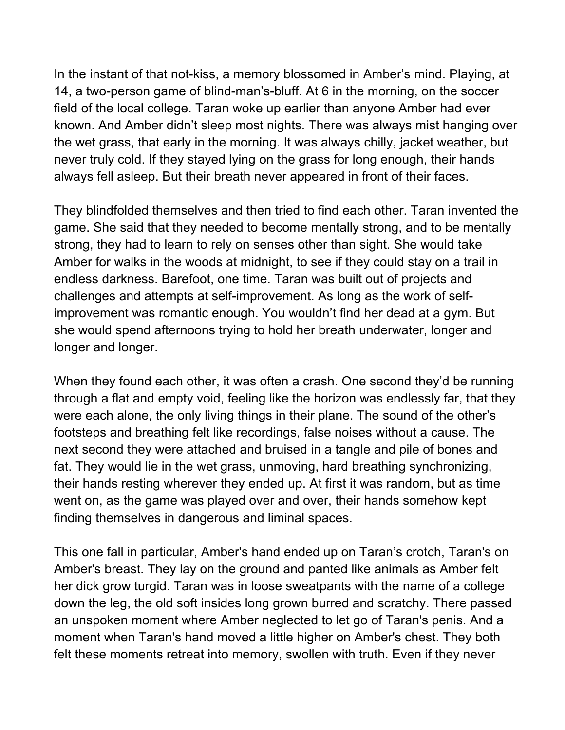In the instant of that not-kiss, a memory blossomed in Amber's mind. Playing, at 14, a two-person game of blind-man's-bluff. At 6 in the morning, on the soccer field of the local college. Taran woke up earlier than anyone Amber had ever known. And Amber didn't sleep most nights. There was always mist hanging over the wet grass, that early in the morning. It was always chilly, jacket weather, but never truly cold. If they stayed lying on the grass for long enough, their hands always fell asleep. But their breath never appeared in front of their faces.

They blindfolded themselves and then tried to find each other. Taran invented the game. She said that they needed to become mentally strong, and to be mentally strong, they had to learn to rely on senses other than sight. She would take Amber for walks in the woods at midnight, to see if they could stay on a trail in endless darkness. Barefoot, one time. Taran was built out of projects and challenges and attempts at self-improvement. As long as the work of selfimprovement was romantic enough. You wouldn't find her dead at a gym. But she would spend afternoons trying to hold her breath underwater, longer and longer and longer.

When they found each other, it was often a crash. One second they'd be running through a flat and empty void, feeling like the horizon was endlessly far, that they were each alone, the only living things in their plane. The sound of the other's footsteps and breathing felt like recordings, false noises without a cause. The next second they were attached and bruised in a tangle and pile of bones and fat. They would lie in the wet grass, unmoving, hard breathing synchronizing, their hands resting wherever they ended up. At first it was random, but as time went on, as the game was played over and over, their hands somehow kept finding themselves in dangerous and liminal spaces.

This one fall in particular, Amber's hand ended up on Taran's crotch, Taran's on Amber's breast. They lay on the ground and panted like animals as Amber felt her dick grow turgid. Taran was in loose sweatpants with the name of a college down the leg, the old soft insides long grown burred and scratchy. There passed an unspoken moment where Amber neglected to let go of Taran's penis. And a moment when Taran's hand moved a little higher on Amber's chest. They both felt these moments retreat into memory, swollen with truth. Even if they never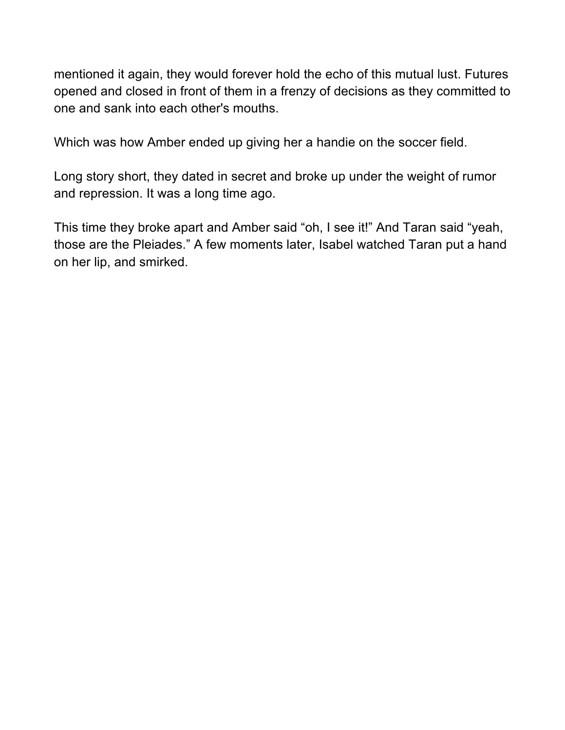mentioned it again, they would forever hold the echo of this mutual lust. Futures opened and closed in front of them in a frenzy of decisions as they committed to one and sank into each other's mouths.

Which was how Amber ended up giving her a handie on the soccer field.

Long story short, they dated in secret and broke up under the weight of rumor and repression. It was a long time ago.

This time they broke apart and Amber said "oh, I see it!" And Taran said "yeah, those are the Pleiades." A few moments later, Isabel watched Taran put a hand on her lip, and smirked.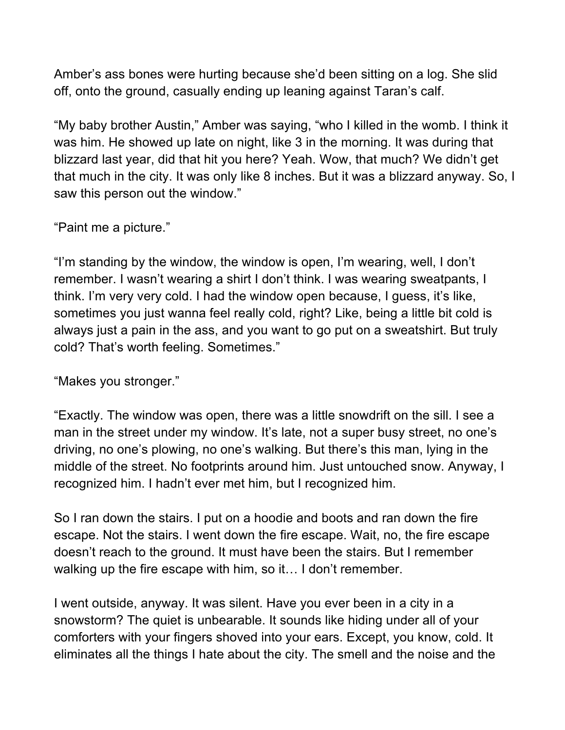Amber's ass bones were hurting because she'd been sitting on a log. She slid off, onto the ground, casually ending up leaning against Taran's calf.

"My baby brother Austin," Amber was saying, "who I killed in the womb. I think it was him. He showed up late on night, like 3 in the morning. It was during that blizzard last year, did that hit you here? Yeah. Wow, that much? We didn't get that much in the city. It was only like 8 inches. But it was a blizzard anyway. So, I saw this person out the window."

"Paint me a picture."

"I'm standing by the window, the window is open, I'm wearing, well, I don't remember. I wasn't wearing a shirt I don't think. I was wearing sweatpants, I think. I'm very very cold. I had the window open because, I guess, it's like, sometimes you just wanna feel really cold, right? Like, being a little bit cold is always just a pain in the ass, and you want to go put on a sweatshirt. But truly cold? That's worth feeling. Sometimes."

"Makes you stronger."

"Exactly. The window was open, there was a little snowdrift on the sill. I see a man in the street under my window. It's late, not a super busy street, no one's driving, no one's plowing, no one's walking. But there's this man, lying in the middle of the street. No footprints around him. Just untouched snow. Anyway, I recognized him. I hadn't ever met him, but I recognized him.

So I ran down the stairs. I put on a hoodie and boots and ran down the fire escape. Not the stairs. I went down the fire escape. Wait, no, the fire escape doesn't reach to the ground. It must have been the stairs. But I remember walking up the fire escape with him, so it... I don't remember.

I went outside, anyway. It was silent. Have you ever been in a city in a snowstorm? The quiet is unbearable. It sounds like hiding under all of your comforters with your fingers shoved into your ears. Except, you know, cold. It eliminates all the things I hate about the city. The smell and the noise and the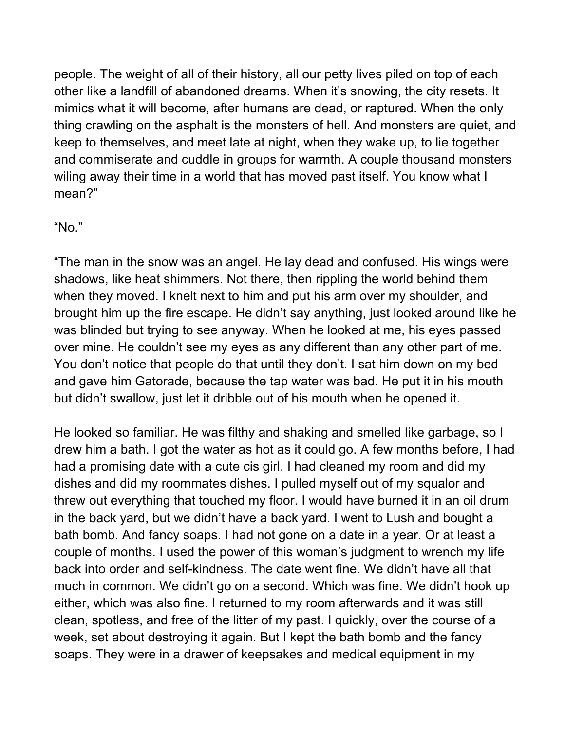people. The weight of all of their history, all our petty lives piled on top of each other like a landfill of abandoned dreams. When it's snowing, the city resets. It mimics what it will become, after humans are dead, or raptured. When the only thing crawling on the asphalt is the monsters of hell. And monsters are quiet, and keep to themselves, and meet late at night, when they wake up, to lie together and commiserate and cuddle in groups for warmth. A couple thousand monsters wiling away their time in a world that has moved past itself. You know what I mean?"

## "No."

"The man in the snow was an angel. He lay dead and confused. His wings were shadows, like heat shimmers. Not there, then rippling the world behind them when they moved. I knelt next to him and put his arm over my shoulder, and brought him up the fire escape. He didn't say anything, just looked around like he was blinded but trying to see anyway. When he looked at me, his eyes passed over mine. He couldn't see my eyes as any different than any other part of me. You don't notice that people do that until they don't. I sat him down on my bed and gave him Gatorade, because the tap water was bad. He put it in his mouth but didn't swallow, just let it dribble out of his mouth when he opened it.

He looked so familiar. He was filthy and shaking and smelled like garbage, so I drew him a bath. I got the water as hot as it could go. A few months before, I had had a promising date with a cute cis girl. I had cleaned my room and did my dishes and did my roommates dishes. I pulled myself out of my squalor and threw out everything that touched my floor. I would have burned it in an oil drum in the back yard, but we didn't have a back yard. I went to Lush and bought a bath bomb. And fancy soaps. I had not gone on a date in a year. Or at least a couple of months. I used the power of this woman's judgment to wrench my life back into order and self-kindness. The date went fine. We didn't have all that much in common. We didn't go on a second. Which was fine. We didn't hook up either, which was also fine. I returned to my room afterwards and it was still clean, spotless, and free of the litter of my past. I quickly, over the course of a week, set about destroying it again. But I kept the bath bomb and the fancy soaps. They were in a drawer of keepsakes and medical equipment in my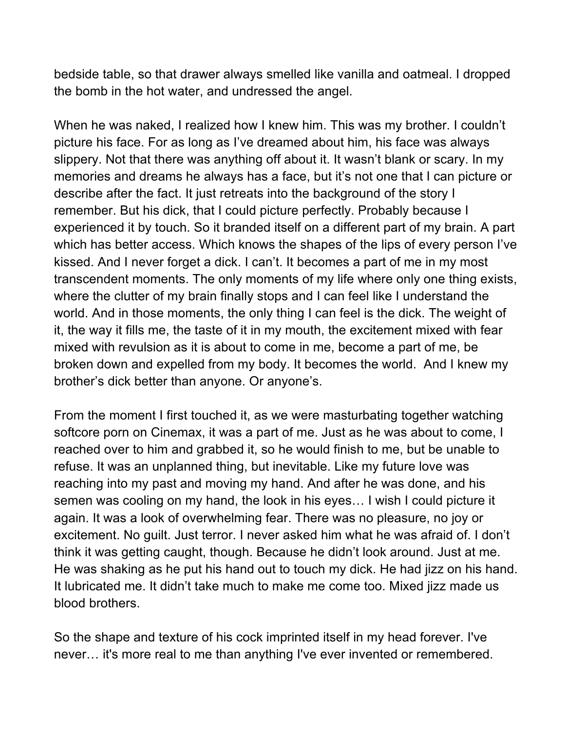bedside table, so that drawer always smelled like vanilla and oatmeal. I dropped the bomb in the hot water, and undressed the angel.

When he was naked, I realized how I knew him. This was my brother. I couldn't picture his face. For as long as I've dreamed about him, his face was always slippery. Not that there was anything off about it. It wasn't blank or scary. In my memories and dreams he always has a face, but it's not one that I can picture or describe after the fact. It just retreats into the background of the story I remember. But his dick, that I could picture perfectly. Probably because I experienced it by touch. So it branded itself on a different part of my brain. A part which has better access. Which knows the shapes of the lips of every person I've kissed. And I never forget a dick. I can't. It becomes a part of me in my most transcendent moments. The only moments of my life where only one thing exists, where the clutter of my brain finally stops and I can feel like I understand the world. And in those moments, the only thing I can feel is the dick. The weight of it, the way it fills me, the taste of it in my mouth, the excitement mixed with fear mixed with revulsion as it is about to come in me, become a part of me, be broken down and expelled from my body. It becomes the world. And I knew my brother's dick better than anyone. Or anyone's.

From the moment I first touched it, as we were masturbating together watching softcore porn on Cinemax, it was a part of me. Just as he was about to come, I reached over to him and grabbed it, so he would finish to me, but be unable to refuse. It was an unplanned thing, but inevitable. Like my future love was reaching into my past and moving my hand. And after he was done, and his semen was cooling on my hand, the look in his eyes… I wish I could picture it again. It was a look of overwhelming fear. There was no pleasure, no joy or excitement. No guilt. Just terror. I never asked him what he was afraid of. I don't think it was getting caught, though. Because he didn't look around. Just at me. He was shaking as he put his hand out to touch my dick. He had jizz on his hand. It lubricated me. It didn't take much to make me come too. Mixed jizz made us blood brothers.

So the shape and texture of his cock imprinted itself in my head forever. I've never… it's more real to me than anything I've ever invented or remembered.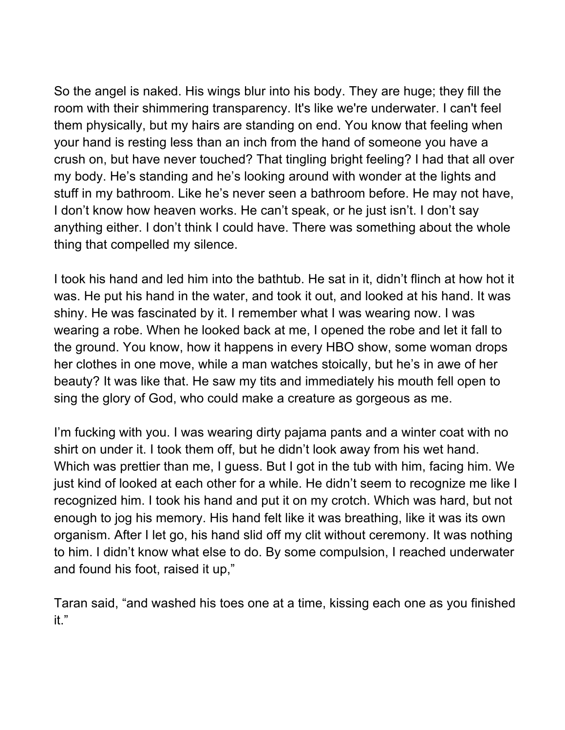So the angel is naked. His wings blur into his body. They are huge; they fill the room with their shimmering transparency. It's like we're underwater. I can't feel them physically, but my hairs are standing on end. You know that feeling when your hand is resting less than an inch from the hand of someone you have a crush on, but have never touched? That tingling bright feeling? I had that all over my body. He's standing and he's looking around with wonder at the lights and stuff in my bathroom. Like he's never seen a bathroom before. He may not have, I don't know how heaven works. He can't speak, or he just isn't. I don't say anything either. I don't think I could have. There was something about the whole thing that compelled my silence.

I took his hand and led him into the bathtub. He sat in it, didn't flinch at how hot it was. He put his hand in the water, and took it out, and looked at his hand. It was shiny. He was fascinated by it. I remember what I was wearing now. I was wearing a robe. When he looked back at me, I opened the robe and let it fall to the ground. You know, how it happens in every HBO show, some woman drops her clothes in one move, while a man watches stoically, but he's in awe of her beauty? It was like that. He saw my tits and immediately his mouth fell open to sing the glory of God, who could make a creature as gorgeous as me.

I'm fucking with you. I was wearing dirty pajama pants and a winter coat with no shirt on under it. I took them off, but he didn't look away from his wet hand. Which was prettier than me, I guess. But I got in the tub with him, facing him. We just kind of looked at each other for a while. He didn't seem to recognize me like I recognized him. I took his hand and put it on my crotch. Which was hard, but not enough to jog his memory. His hand felt like it was breathing, like it was its own organism. After I let go, his hand slid off my clit without ceremony. It was nothing to him. I didn't know what else to do. By some compulsion, I reached underwater and found his foot, raised it up,"

Taran said, "and washed his toes one at a time, kissing each one as you finished it."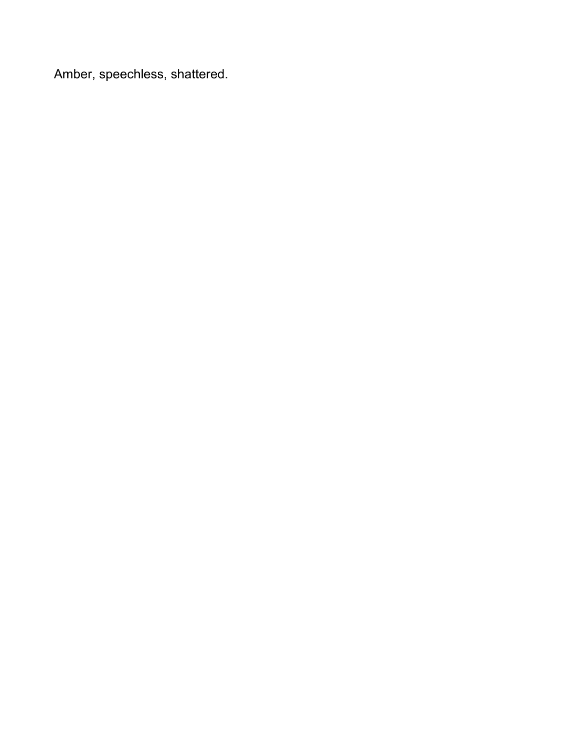Amber, speechless, shattered.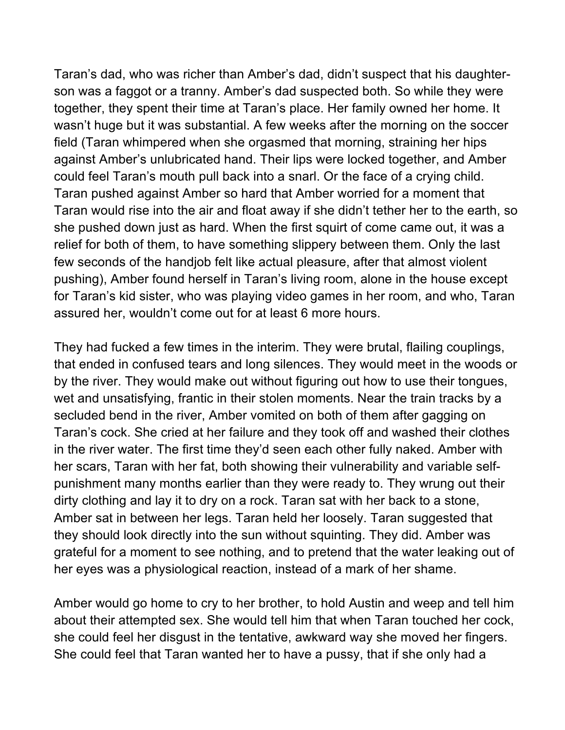Taran's dad, who was richer than Amber's dad, didn't suspect that his daughterson was a faggot or a tranny. Amber's dad suspected both. So while they were together, they spent their time at Taran's place. Her family owned her home. It wasn't huge but it was substantial. A few weeks after the morning on the soccer field (Taran whimpered when she orgasmed that morning, straining her hips against Amber's unlubricated hand. Their lips were locked together, and Amber could feel Taran's mouth pull back into a snarl. Or the face of a crying child. Taran pushed against Amber so hard that Amber worried for a moment that Taran would rise into the air and float away if she didn't tether her to the earth, so she pushed down just as hard. When the first squirt of come came out, it was a relief for both of them, to have something slippery between them. Only the last few seconds of the handjob felt like actual pleasure, after that almost violent pushing), Amber found herself in Taran's living room, alone in the house except for Taran's kid sister, who was playing video games in her room, and who, Taran assured her, wouldn't come out for at least 6 more hours.

They had fucked a few times in the interim. They were brutal, flailing couplings, that ended in confused tears and long silences. They would meet in the woods or by the river. They would make out without figuring out how to use their tongues, wet and unsatisfying, frantic in their stolen moments. Near the train tracks by a secluded bend in the river, Amber vomited on both of them after gagging on Taran's cock. She cried at her failure and they took off and washed their clothes in the river water. The first time they'd seen each other fully naked. Amber with her scars, Taran with her fat, both showing their vulnerability and variable selfpunishment many months earlier than they were ready to. They wrung out their dirty clothing and lay it to dry on a rock. Taran sat with her back to a stone, Amber sat in between her legs. Taran held her loosely. Taran suggested that they should look directly into the sun without squinting. They did. Amber was grateful for a moment to see nothing, and to pretend that the water leaking out of her eyes was a physiological reaction, instead of a mark of her shame.

Amber would go home to cry to her brother, to hold Austin and weep and tell him about their attempted sex. She would tell him that when Taran touched her cock, she could feel her disgust in the tentative, awkward way she moved her fingers. She could feel that Taran wanted her to have a pussy, that if she only had a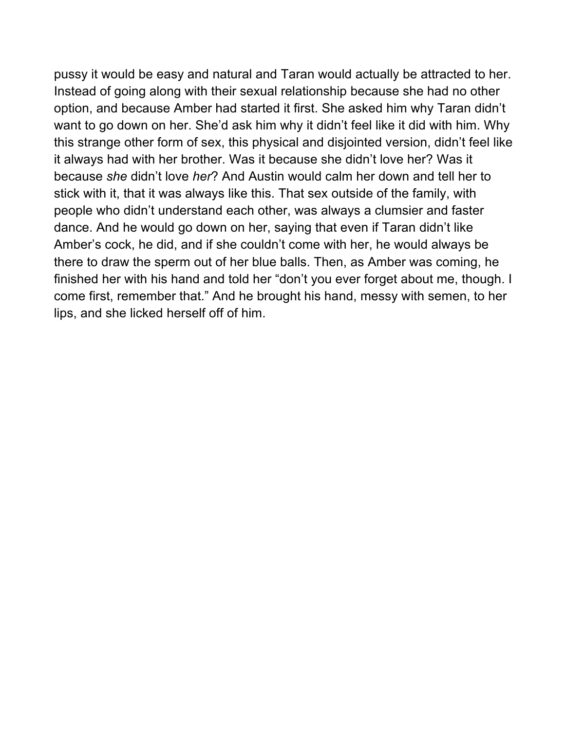pussy it would be easy and natural and Taran would actually be attracted to her. Instead of going along with their sexual relationship because she had no other option, and because Amber had started it first. She asked him why Taran didn't want to go down on her. She'd ask him why it didn't feel like it did with him. Why this strange other form of sex, this physical and disjointed version, didn't feel like it always had with her brother. Was it because she didn't love her? Was it because *she* didn't love *her*? And Austin would calm her down and tell her to stick with it, that it was always like this. That sex outside of the family, with people who didn't understand each other, was always a clumsier and faster dance. And he would go down on her, saying that even if Taran didn't like Amber's cock, he did, and if she couldn't come with her, he would always be there to draw the sperm out of her blue balls. Then, as Amber was coming, he finished her with his hand and told her "don't you ever forget about me, though. I come first, remember that." And he brought his hand, messy with semen, to her lips, and she licked herself off of him.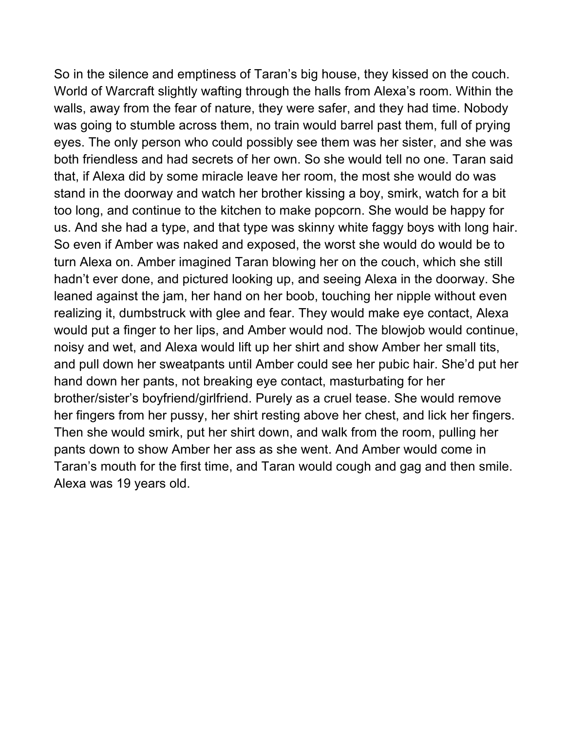So in the silence and emptiness of Taran's big house, they kissed on the couch. World of Warcraft slightly wafting through the halls from Alexa's room. Within the walls, away from the fear of nature, they were safer, and they had time. Nobody was going to stumble across them, no train would barrel past them, full of prying eyes. The only person who could possibly see them was her sister, and she was both friendless and had secrets of her own. So she would tell no one. Taran said that, if Alexa did by some miracle leave her room, the most she would do was stand in the doorway and watch her brother kissing a boy, smirk, watch for a bit too long, and continue to the kitchen to make popcorn. She would be happy for us. And she had a type, and that type was skinny white faggy boys with long hair. So even if Amber was naked and exposed, the worst she would do would be to turn Alexa on. Amber imagined Taran blowing her on the couch, which she still hadn't ever done, and pictured looking up, and seeing Alexa in the doorway. She leaned against the jam, her hand on her boob, touching her nipple without even realizing it, dumbstruck with glee and fear. They would make eye contact, Alexa would put a finger to her lips, and Amber would nod. The blowjob would continue, noisy and wet, and Alexa would lift up her shirt and show Amber her small tits, and pull down her sweatpants until Amber could see her pubic hair. She'd put her hand down her pants, not breaking eye contact, masturbating for her brother/sister's boyfriend/girlfriend. Purely as a cruel tease. She would remove her fingers from her pussy, her shirt resting above her chest, and lick her fingers. Then she would smirk, put her shirt down, and walk from the room, pulling her pants down to show Amber her ass as she went. And Amber would come in Taran's mouth for the first time, and Taran would cough and gag and then smile. Alexa was 19 years old.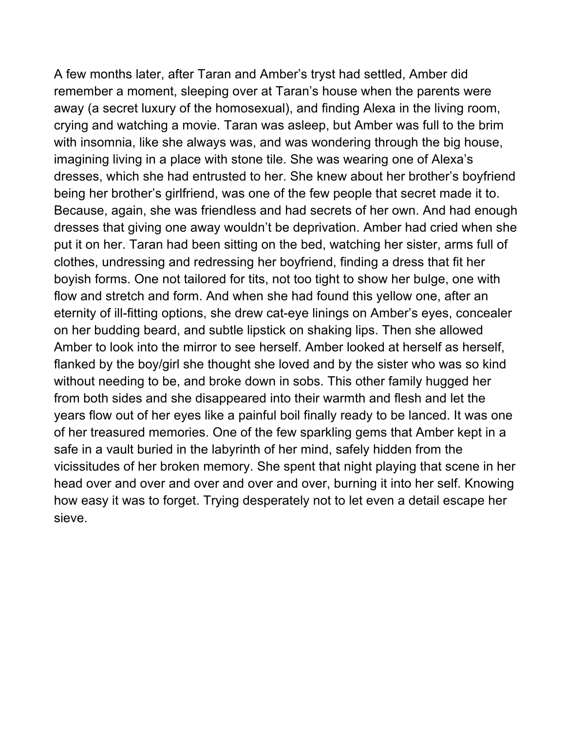A few months later, after Taran and Amber's tryst had settled, Amber did remember a moment, sleeping over at Taran's house when the parents were away (a secret luxury of the homosexual), and finding Alexa in the living room, crying and watching a movie. Taran was asleep, but Amber was full to the brim with insomnia, like she always was, and was wondering through the big house, imagining living in a place with stone tile. She was wearing one of Alexa's dresses, which she had entrusted to her. She knew about her brother's boyfriend being her brother's girlfriend, was one of the few people that secret made it to. Because, again, she was friendless and had secrets of her own. And had enough dresses that giving one away wouldn't be deprivation. Amber had cried when she put it on her. Taran had been sitting on the bed, watching her sister, arms full of clothes, undressing and redressing her boyfriend, finding a dress that fit her boyish forms. One not tailored for tits, not too tight to show her bulge, one with flow and stretch and form. And when she had found this yellow one, after an eternity of ill-fitting options, she drew cat-eye linings on Amber's eyes, concealer on her budding beard, and subtle lipstick on shaking lips. Then she allowed Amber to look into the mirror to see herself. Amber looked at herself as herself, flanked by the boy/girl she thought she loved and by the sister who was so kind without needing to be, and broke down in sobs. This other family hugged her from both sides and she disappeared into their warmth and flesh and let the years flow out of her eyes like a painful boil finally ready to be lanced. It was one of her treasured memories. One of the few sparkling gems that Amber kept in a safe in a vault buried in the labyrinth of her mind, safely hidden from the vicissitudes of her broken memory. She spent that night playing that scene in her head over and over and over and over and over, burning it into her self. Knowing how easy it was to forget. Trying desperately not to let even a detail escape her sieve.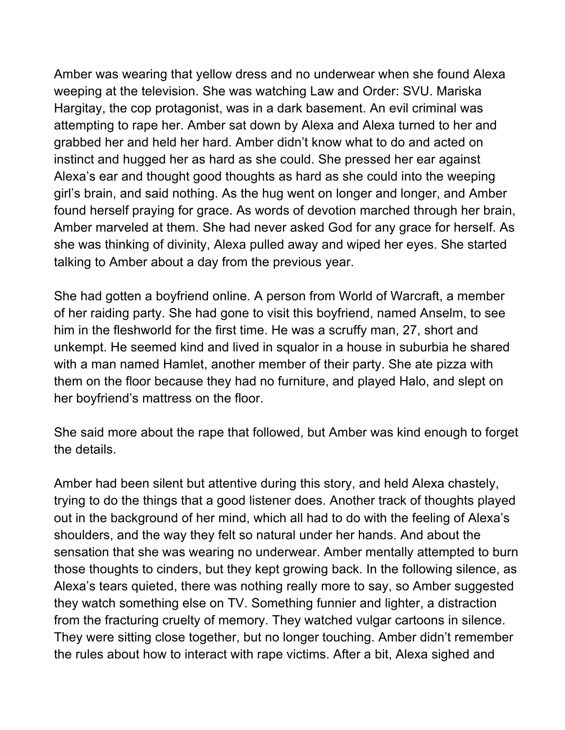Amber was wearing that yellow dress and no underwear when she found Alexa weeping at the television. She was watching Law and Order: SVU. Mariska Hargitay, the cop protagonist, was in a dark basement. An evil criminal was attempting to rape her. Amber sat down by Alexa and Alexa turned to her and grabbed her and held her hard. Amber didn't know what to do and acted on instinct and hugged her as hard as she could. She pressed her ear against Alexa's ear and thought good thoughts as hard as she could into the weeping girl's brain, and said nothing. As the hug went on longer and longer, and Amber found herself praying for grace. As words of devotion marched through her brain, Amber marveled at them. She had never asked God for any grace for herself. As she was thinking of divinity, Alexa pulled away and wiped her eyes. She started talking to Amber about a day from the previous year.

She had gotten a boyfriend online. A person from World of Warcraft, a member of her raiding party. She had gone to visit this boyfriend, named Anselm, to see him in the fleshworld for the first time. He was a scruffy man, 27, short and unkempt. He seemed kind and lived in squalor in a house in suburbia he shared with a man named Hamlet, another member of their party. She ate pizza with them on the floor because they had no furniture, and played Halo, and slept on her boyfriend's mattress on the floor.

She said more about the rape that followed, but Amber was kind enough to forget the details.

Amber had been silent but attentive during this story, and held Alexa chastely, trying to do the things that a good listener does. Another track of thoughts played out in the background of her mind, which all had to do with the feeling of Alexa's shoulders, and the way they felt so natural under her hands. And about the sensation that she was wearing no underwear. Amber mentally attempted to burn those thoughts to cinders, but they kept growing back. In the following silence, as Alexa's tears quieted, there was nothing really more to say, so Amber suggested they watch something else on TV. Something funnier and lighter, a distraction from the fracturing cruelty of memory. They watched vulgar cartoons in silence. They were sitting close together, but no longer touching. Amber didn't remember the rules about how to interact with rape victims. After a bit, Alexa sighed and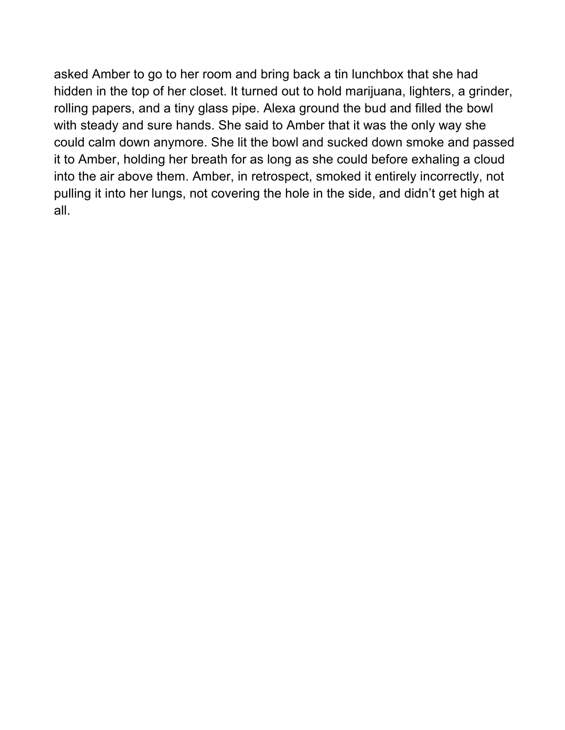asked Amber to go to her room and bring back a tin lunchbox that she had hidden in the top of her closet. It turned out to hold marijuana, lighters, a grinder, rolling papers, and a tiny glass pipe. Alexa ground the bud and filled the bowl with steady and sure hands. She said to Amber that it was the only way she could calm down anymore. She lit the bowl and sucked down smoke and passed it to Amber, holding her breath for as long as she could before exhaling a cloud into the air above them. Amber, in retrospect, smoked it entirely incorrectly, not pulling it into her lungs, not covering the hole in the side, and didn't get high at all.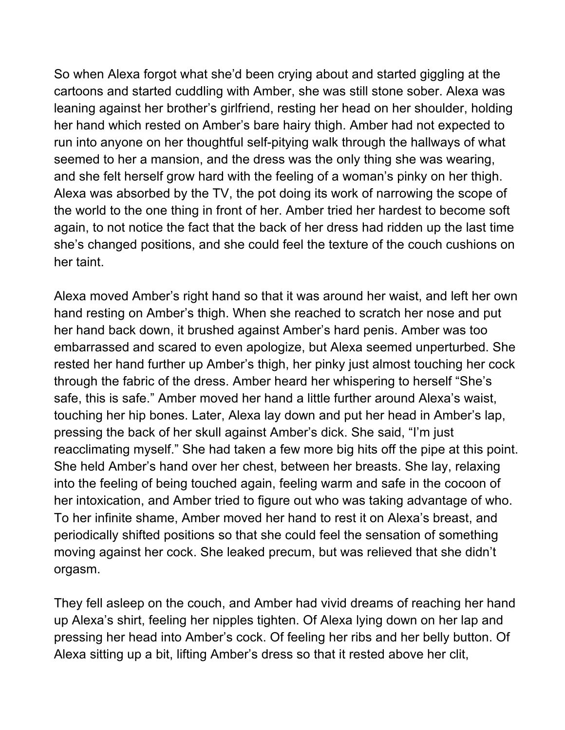So when Alexa forgot what she'd been crying about and started giggling at the cartoons and started cuddling with Amber, she was still stone sober. Alexa was leaning against her brother's girlfriend, resting her head on her shoulder, holding her hand which rested on Amber's bare hairy thigh. Amber had not expected to run into anyone on her thoughtful self-pitying walk through the hallways of what seemed to her a mansion, and the dress was the only thing she was wearing, and she felt herself grow hard with the feeling of a woman's pinky on her thigh. Alexa was absorbed by the TV, the pot doing its work of narrowing the scope of the world to the one thing in front of her. Amber tried her hardest to become soft again, to not notice the fact that the back of her dress had ridden up the last time she's changed positions, and she could feel the texture of the couch cushions on her taint.

Alexa moved Amber's right hand so that it was around her waist, and left her own hand resting on Amber's thigh. When she reached to scratch her nose and put her hand back down, it brushed against Amber's hard penis. Amber was too embarrassed and scared to even apologize, but Alexa seemed unperturbed. She rested her hand further up Amber's thigh, her pinky just almost touching her cock through the fabric of the dress. Amber heard her whispering to herself "She's safe, this is safe." Amber moved her hand a little further around Alexa's waist, touching her hip bones. Later, Alexa lay down and put her head in Amber's lap, pressing the back of her skull against Amber's dick. She said, "I'm just reacclimating myself." She had taken a few more big hits off the pipe at this point. She held Amber's hand over her chest, between her breasts. She lay, relaxing into the feeling of being touched again, feeling warm and safe in the cocoon of her intoxication, and Amber tried to figure out who was taking advantage of who. To her infinite shame, Amber moved her hand to rest it on Alexa's breast, and periodically shifted positions so that she could feel the sensation of something moving against her cock. She leaked precum, but was relieved that she didn't orgasm.

They fell asleep on the couch, and Amber had vivid dreams of reaching her hand up Alexa's shirt, feeling her nipples tighten. Of Alexa lying down on her lap and pressing her head into Amber's cock. Of feeling her ribs and her belly button. Of Alexa sitting up a bit, lifting Amber's dress so that it rested above her clit,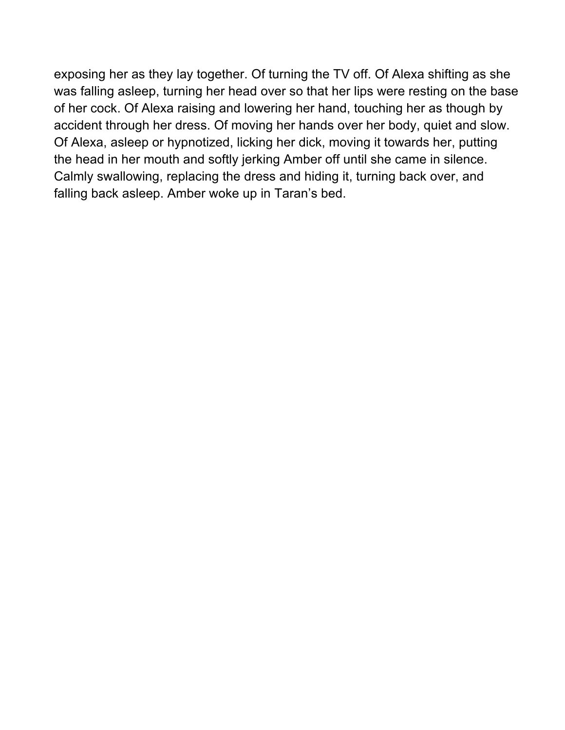exposing her as they lay together. Of turning the TV off. Of Alexa shifting as she was falling asleep, turning her head over so that her lips were resting on the base of her cock. Of Alexa raising and lowering her hand, touching her as though by accident through her dress. Of moving her hands over her body, quiet and slow. Of Alexa, asleep or hypnotized, licking her dick, moving it towards her, putting the head in her mouth and softly jerking Amber off until she came in silence. Calmly swallowing, replacing the dress and hiding it, turning back over, and falling back asleep. Amber woke up in Taran's bed.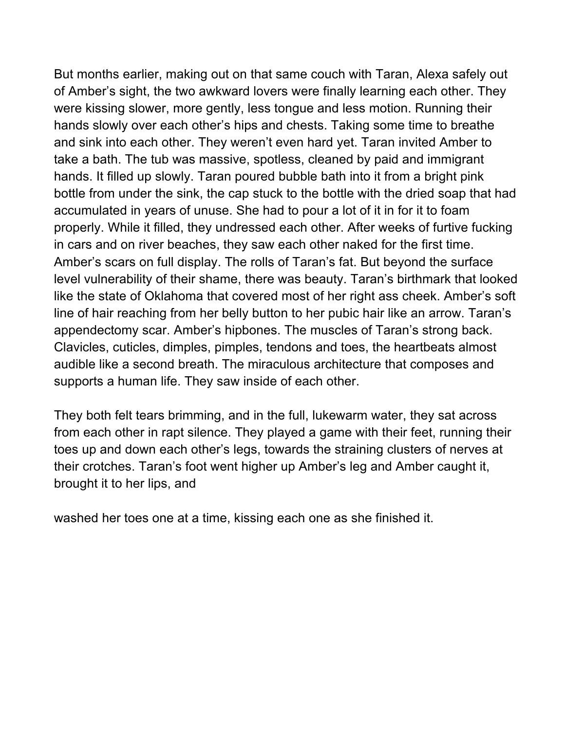But months earlier, making out on that same couch with Taran, Alexa safely out of Amber's sight, the two awkward lovers were finally learning each other. They were kissing slower, more gently, less tongue and less motion. Running their hands slowly over each other's hips and chests. Taking some time to breathe and sink into each other. They weren't even hard yet. Taran invited Amber to take a bath. The tub was massive, spotless, cleaned by paid and immigrant hands. It filled up slowly. Taran poured bubble bath into it from a bright pink bottle from under the sink, the cap stuck to the bottle with the dried soap that had accumulated in years of unuse. She had to pour a lot of it in for it to foam properly. While it filled, they undressed each other. After weeks of furtive fucking in cars and on river beaches, they saw each other naked for the first time. Amber's scars on full display. The rolls of Taran's fat. But beyond the surface level vulnerability of their shame, there was beauty. Taran's birthmark that looked like the state of Oklahoma that covered most of her right ass cheek. Amber's soft line of hair reaching from her belly button to her pubic hair like an arrow. Taran's appendectomy scar. Amber's hipbones. The muscles of Taran's strong back. Clavicles, cuticles, dimples, pimples, tendons and toes, the heartbeats almost audible like a second breath. The miraculous architecture that composes and supports a human life. They saw inside of each other.

They both felt tears brimming, and in the full, lukewarm water, they sat across from each other in rapt silence. They played a game with their feet, running their toes up and down each other's legs, towards the straining clusters of nerves at their crotches. Taran's foot went higher up Amber's leg and Amber caught it, brought it to her lips, and

washed her toes one at a time, kissing each one as she finished it.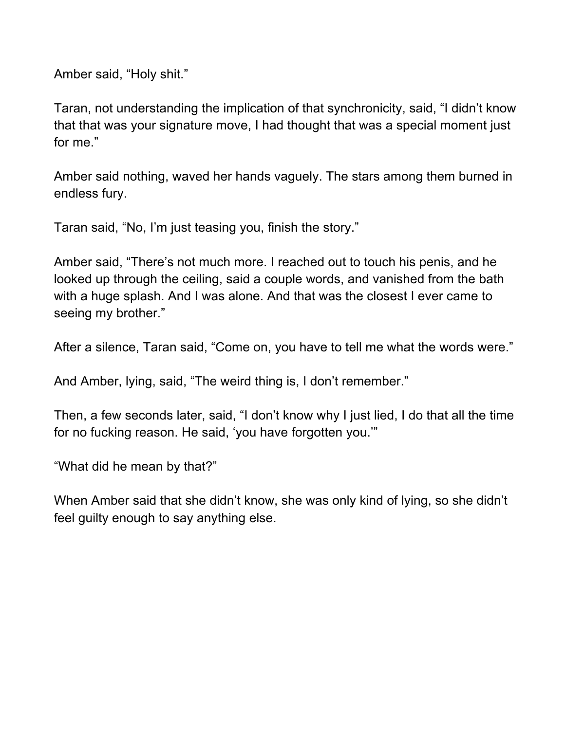Amber said, "Holy shit."

Taran, not understanding the implication of that synchronicity, said, "I didn't know that that was your signature move, I had thought that was a special moment just for me."

Amber said nothing, waved her hands vaguely. The stars among them burned in endless fury.

Taran said, "No, I'm just teasing you, finish the story."

Amber said, "There's not much more. I reached out to touch his penis, and he looked up through the ceiling, said a couple words, and vanished from the bath with a huge splash. And I was alone. And that was the closest I ever came to seeing my brother."

After a silence, Taran said, "Come on, you have to tell me what the words were."

And Amber, lying, said, "The weird thing is, I don't remember."

Then, a few seconds later, said, "I don't know why I just lied, I do that all the time for no fucking reason. He said, 'you have forgotten you.'"

"What did he mean by that?"

When Amber said that she didn't know, she was only kind of lying, so she didn't feel guilty enough to say anything else.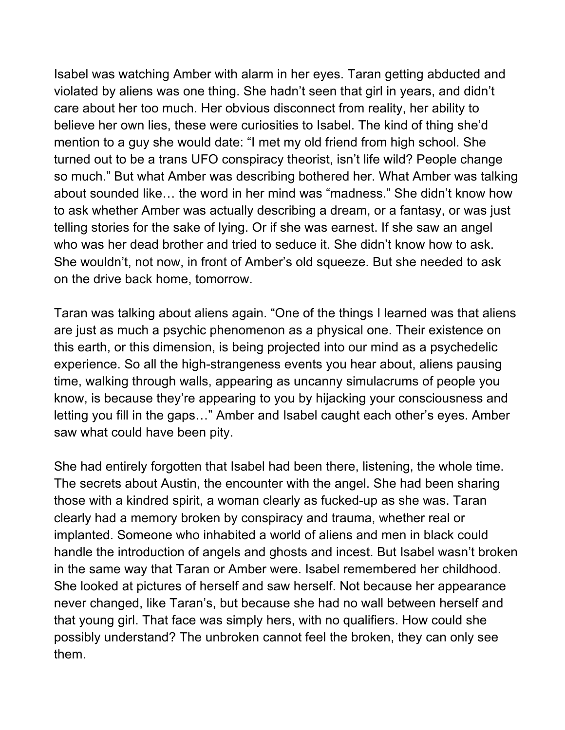Isabel was watching Amber with alarm in her eyes. Taran getting abducted and violated by aliens was one thing. She hadn't seen that girl in years, and didn't care about her too much. Her obvious disconnect from reality, her ability to believe her own lies, these were curiosities to Isabel. The kind of thing she'd mention to a guy she would date: "I met my old friend from high school. She turned out to be a trans UFO conspiracy theorist, isn't life wild? People change so much." But what Amber was describing bothered her. What Amber was talking about sounded like… the word in her mind was "madness." She didn't know how to ask whether Amber was actually describing a dream, or a fantasy, or was just telling stories for the sake of lying. Or if she was earnest. If she saw an angel who was her dead brother and tried to seduce it. She didn't know how to ask. She wouldn't, not now, in front of Amber's old squeeze. But she needed to ask on the drive back home, tomorrow.

Taran was talking about aliens again. "One of the things I learned was that aliens are just as much a psychic phenomenon as a physical one. Their existence on this earth, or this dimension, is being projected into our mind as a psychedelic experience. So all the high-strangeness events you hear about, aliens pausing time, walking through walls, appearing as uncanny simulacrums of people you know, is because they're appearing to you by hijacking your consciousness and letting you fill in the gaps…" Amber and Isabel caught each other's eyes. Amber saw what could have been pity.

She had entirely forgotten that Isabel had been there, listening, the whole time. The secrets about Austin, the encounter with the angel. She had been sharing those with a kindred spirit, a woman clearly as fucked-up as she was. Taran clearly had a memory broken by conspiracy and trauma, whether real or implanted. Someone who inhabited a world of aliens and men in black could handle the introduction of angels and ghosts and incest. But Isabel wasn't broken in the same way that Taran or Amber were. Isabel remembered her childhood. She looked at pictures of herself and saw herself. Not because her appearance never changed, like Taran's, but because she had no wall between herself and that young girl. That face was simply hers, with no qualifiers. How could she possibly understand? The unbroken cannot feel the broken, they can only see them.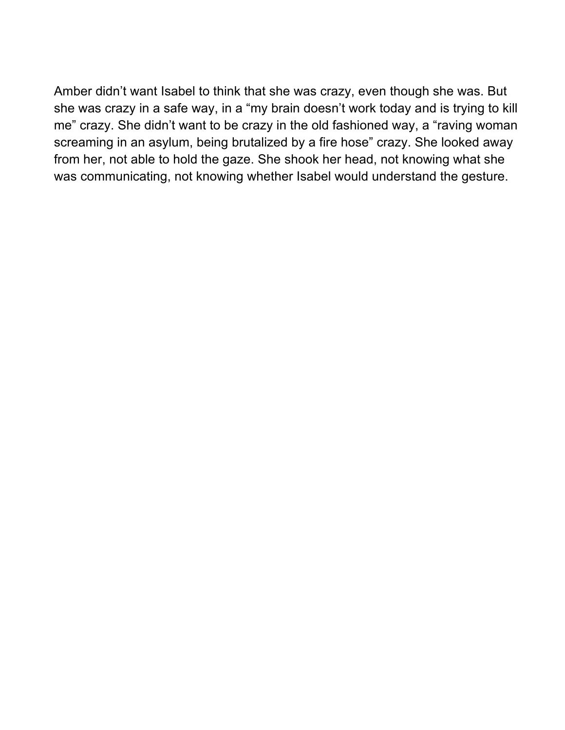Amber didn't want Isabel to think that she was crazy, even though she was. But she was crazy in a safe way, in a "my brain doesn't work today and is trying to kill me" crazy. She didn't want to be crazy in the old fashioned way, a "raving woman screaming in an asylum, being brutalized by a fire hose" crazy. She looked away from her, not able to hold the gaze. She shook her head, not knowing what she was communicating, not knowing whether Isabel would understand the gesture.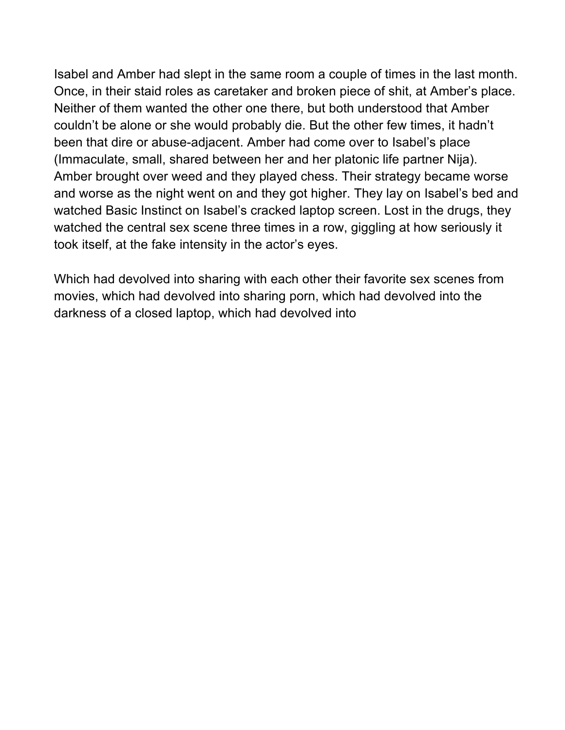Isabel and Amber had slept in the same room a couple of times in the last month. Once, in their staid roles as caretaker and broken piece of shit, at Amber's place. Neither of them wanted the other one there, but both understood that Amber couldn't be alone or she would probably die. But the other few times, it hadn't been that dire or abuse-adjacent. Amber had come over to Isabel's place (Immaculate, small, shared between her and her platonic life partner Nija). Amber brought over weed and they played chess. Their strategy became worse and worse as the night went on and they got higher. They lay on Isabel's bed and watched Basic Instinct on Isabel's cracked laptop screen. Lost in the drugs, they watched the central sex scene three times in a row, giggling at how seriously it took itself, at the fake intensity in the actor's eyes.

Which had devolved into sharing with each other their favorite sex scenes from movies, which had devolved into sharing porn, which had devolved into the darkness of a closed laptop, which had devolved into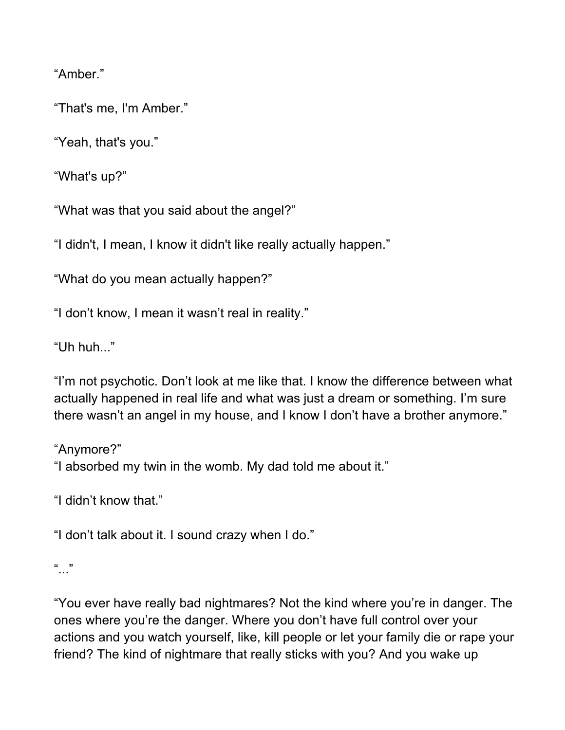"Amber."

"That's me, I'm Amber."

"Yeah, that's you."

"What's up?"

"What was that you said about the angel?"

"I didn't, I mean, I know it didn't like really actually happen."

"What do you mean actually happen?"

"I don't know, I mean it wasn't real in reality."

"Uh huh..."

"I'm not psychotic. Don't look at me like that. I know the difference between what actually happened in real life and what was just a dream or something. I'm sure there wasn't an angel in my house, and I know I don't have a brother anymore."

"Anymore?" "I absorbed my twin in the womb. My dad told me about it."

"I didn't know that."

"I don't talk about it. I sound crazy when I do."

 $\frac{1}{2}$ 

"You ever have really bad nightmares? Not the kind where you're in danger. The ones where you're the danger. Where you don't have full control over your actions and you watch yourself, like, kill people or let your family die or rape your friend? The kind of nightmare that really sticks with you? And you wake up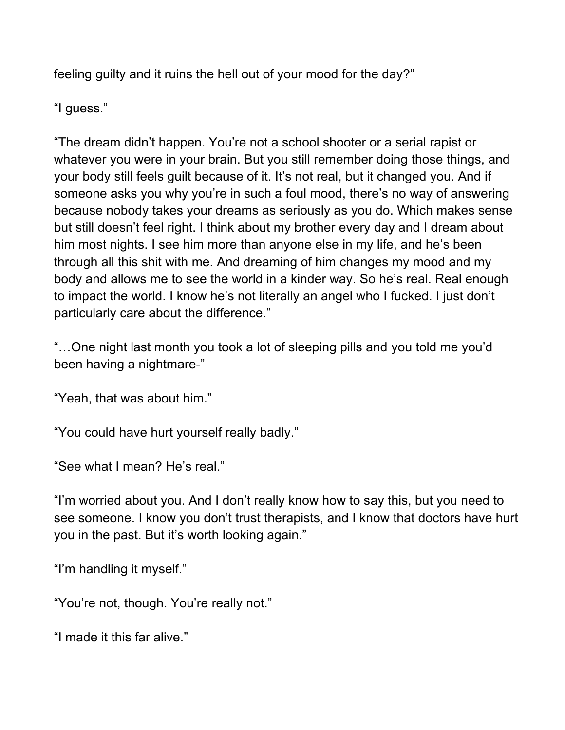feeling guilty and it ruins the hell out of your mood for the day?"

"I guess."

"The dream didn't happen. You're not a school shooter or a serial rapist or whatever you were in your brain. But you still remember doing those things, and your body still feels guilt because of it. It's not real, but it changed you. And if someone asks you why you're in such a foul mood, there's no way of answering because nobody takes your dreams as seriously as you do. Which makes sense but still doesn't feel right. I think about my brother every day and I dream about him most nights. I see him more than anyone else in my life, and he's been through all this shit with me. And dreaming of him changes my mood and my body and allows me to see the world in a kinder way. So he's real. Real enough to impact the world. I know he's not literally an angel who I fucked. I just don't particularly care about the difference."

"…One night last month you took a lot of sleeping pills and you told me you'd been having a nightmare-"

"Yeah, that was about him."

"You could have hurt yourself really badly."

"See what I mean? He's real."

"I'm worried about you. And I don't really know how to say this, but you need to see someone. I know you don't trust therapists, and I know that doctors have hurt you in the past. But it's worth looking again."

"I'm handling it myself."

"You're not, though. You're really not."

"I made it this far alive."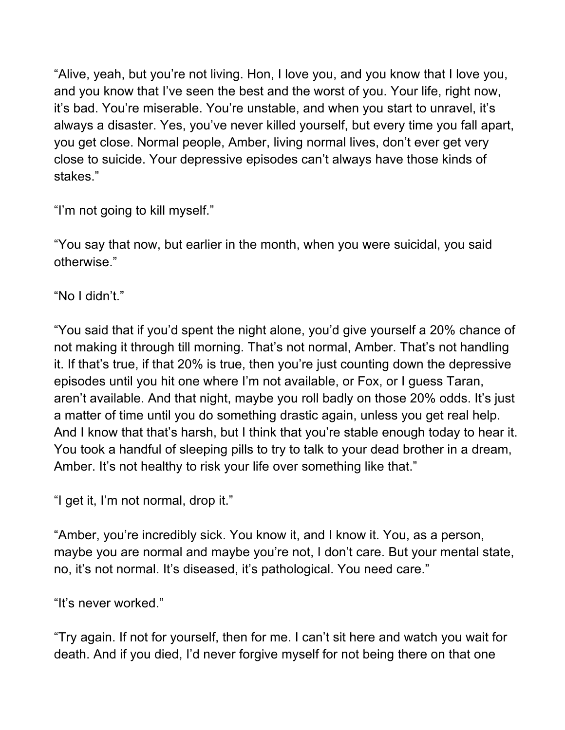"Alive, yeah, but you're not living. Hon, I love you, and you know that I love you, and you know that I've seen the best and the worst of you. Your life, right now, it's bad. You're miserable. You're unstable, and when you start to unravel, it's always a disaster. Yes, you've never killed yourself, but every time you fall apart, you get close. Normal people, Amber, living normal lives, don't ever get very close to suicide. Your depressive episodes can't always have those kinds of stakes."

"I'm not going to kill myself."

"You say that now, but earlier in the month, when you were suicidal, you said otherwise."

"No I didn't."

"You said that if you'd spent the night alone, you'd give yourself a 20% chance of not making it through till morning. That's not normal, Amber. That's not handling it. If that's true, if that 20% is true, then you're just counting down the depressive episodes until you hit one where I'm not available, or Fox, or I guess Taran, aren't available. And that night, maybe you roll badly on those 20% odds. It's just a matter of time until you do something drastic again, unless you get real help. And I know that that's harsh, but I think that you're stable enough today to hear it. You took a handful of sleeping pills to try to talk to your dead brother in a dream, Amber. It's not healthy to risk your life over something like that."

"I get it, I'm not normal, drop it."

"Amber, you're incredibly sick. You know it, and I know it. You, as a person, maybe you are normal and maybe you're not, I don't care. But your mental state, no, it's not normal. It's diseased, it's pathological. You need care."

"It's never worked."

"Try again. If not for yourself, then for me. I can't sit here and watch you wait for death. And if you died, I'd never forgive myself for not being there on that one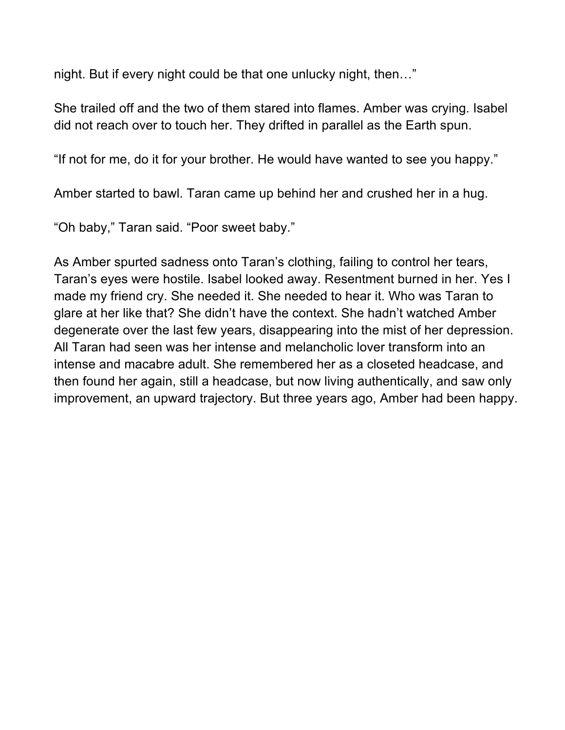night. But if every night could be that one unlucky night, then…"

She trailed off and the two of them stared into flames. Amber was crying. Isabel did not reach over to touch her. They drifted in parallel as the Earth spun.

"If not for me, do it for your brother. He would have wanted to see you happy."

Amber started to bawl. Taran came up behind her and crushed her in a hug.

"Oh baby," Taran said. "Poor sweet baby."

As Amber spurted sadness onto Taran's clothing, failing to control her tears, Taran's eyes were hostile. Isabel looked away. Resentment burned in her. Yes I made my friend cry. She needed it. She needed to hear it. Who was Taran to glare at her like that? She didn't have the context. She hadn't watched Amber degenerate over the last few years, disappearing into the mist of her depression. All Taran had seen was her intense and melancholic lover transform into an intense and macabre adult. She remembered her as a closeted headcase, and then found her again, still a headcase, but now living authentically, and saw only improvement, an upward trajectory. But three years ago, Amber had been happy.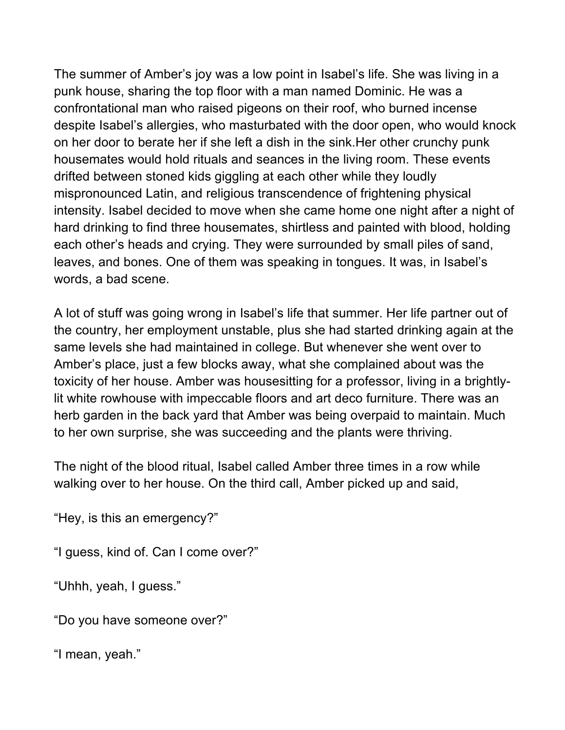The summer of Amber's joy was a low point in Isabel's life. She was living in a punk house, sharing the top floor with a man named Dominic. He was a confrontational man who raised pigeons on their roof, who burned incense despite Isabel's allergies, who masturbated with the door open, who would knock on her door to berate her if she left a dish in the sink.Her other crunchy punk housemates would hold rituals and seances in the living room. These events drifted between stoned kids giggling at each other while they loudly mispronounced Latin, and religious transcendence of frightening physical intensity. Isabel decided to move when she came home one night after a night of hard drinking to find three housemates, shirtless and painted with blood, holding each other's heads and crying. They were surrounded by small piles of sand, leaves, and bones. One of them was speaking in tongues. It was, in Isabel's words, a bad scene.

A lot of stuff was going wrong in Isabel's life that summer. Her life partner out of the country, her employment unstable, plus she had started drinking again at the same levels she had maintained in college. But whenever she went over to Amber's place, just a few blocks away, what she complained about was the toxicity of her house. Amber was housesitting for a professor, living in a brightlylit white rowhouse with impeccable floors and art deco furniture. There was an herb garden in the back yard that Amber was being overpaid to maintain. Much to her own surprise, she was succeeding and the plants were thriving.

The night of the blood ritual, Isabel called Amber three times in a row while walking over to her house. On the third call, Amber picked up and said,

"Hey, is this an emergency?"

"I guess, kind of. Can I come over?"

"Uhhh, yeah, I guess."

"Do you have someone over?"

"I mean, yeah."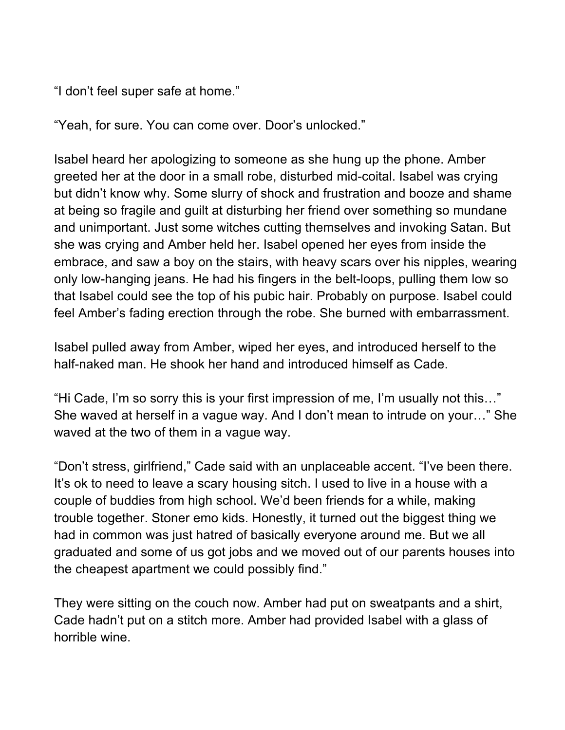"I don't feel super safe at home."

"Yeah, for sure. You can come over. Door's unlocked."

Isabel heard her apologizing to someone as she hung up the phone. Amber greeted her at the door in a small robe, disturbed mid-coital. Isabel was crying but didn't know why. Some slurry of shock and frustration and booze and shame at being so fragile and guilt at disturbing her friend over something so mundane and unimportant. Just some witches cutting themselves and invoking Satan. But she was crying and Amber held her. Isabel opened her eyes from inside the embrace, and saw a boy on the stairs, with heavy scars over his nipples, wearing only low-hanging jeans. He had his fingers in the belt-loops, pulling them low so that Isabel could see the top of his pubic hair. Probably on purpose. Isabel could feel Amber's fading erection through the robe. She burned with embarrassment.

Isabel pulled away from Amber, wiped her eyes, and introduced herself to the half-naked man. He shook her hand and introduced himself as Cade.

"Hi Cade, I'm so sorry this is your first impression of me, I'm usually not this…" She waved at herself in a vague way. And I don't mean to intrude on your…" She waved at the two of them in a vague way.

"Don't stress, girlfriend," Cade said with an unplaceable accent. "I've been there. It's ok to need to leave a scary housing sitch. I used to live in a house with a couple of buddies from high school. We'd been friends for a while, making trouble together. Stoner emo kids. Honestly, it turned out the biggest thing we had in common was just hatred of basically everyone around me. But we all graduated and some of us got jobs and we moved out of our parents houses into the cheapest apartment we could possibly find."

They were sitting on the couch now. Amber had put on sweatpants and a shirt, Cade hadn't put on a stitch more. Amber had provided Isabel with a glass of horrible wine.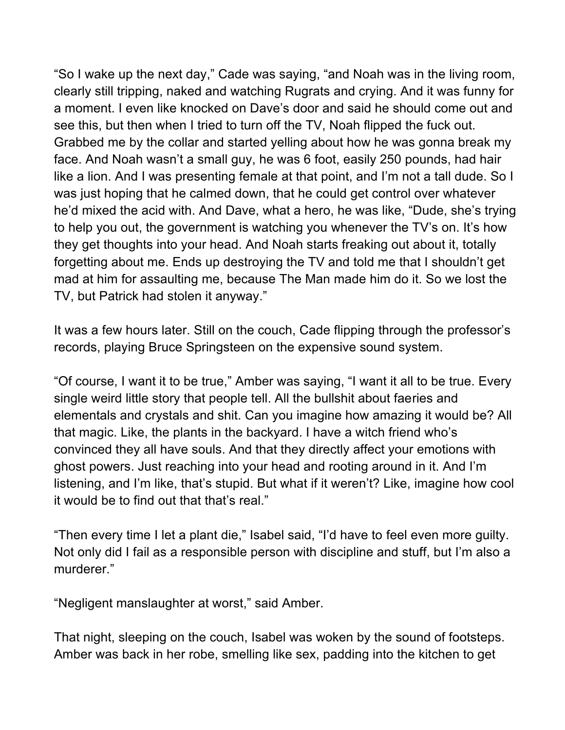"So I wake up the next day," Cade was saying, "and Noah was in the living room, clearly still tripping, naked and watching Rugrats and crying. And it was funny for a moment. I even like knocked on Dave's door and said he should come out and see this, but then when I tried to turn off the TV, Noah flipped the fuck out. Grabbed me by the collar and started yelling about how he was gonna break my face. And Noah wasn't a small guy, he was 6 foot, easily 250 pounds, had hair like a lion. And I was presenting female at that point, and I'm not a tall dude. So I was just hoping that he calmed down, that he could get control over whatever he'd mixed the acid with. And Dave, what a hero, he was like, "Dude, she's trying to help you out, the government is watching you whenever the TV's on. It's how they get thoughts into your head. And Noah starts freaking out about it, totally forgetting about me. Ends up destroying the TV and told me that I shouldn't get mad at him for assaulting me, because The Man made him do it. So we lost the TV, but Patrick had stolen it anyway."

It was a few hours later. Still on the couch, Cade flipping through the professor's records, playing Bruce Springsteen on the expensive sound system.

"Of course, I want it to be true," Amber was saying, "I want it all to be true. Every single weird little story that people tell. All the bullshit about faeries and elementals and crystals and shit. Can you imagine how amazing it would be? All that magic. Like, the plants in the backyard. I have a witch friend who's convinced they all have souls. And that they directly affect your emotions with ghost powers. Just reaching into your head and rooting around in it. And I'm listening, and I'm like, that's stupid. But what if it weren't? Like, imagine how cool it would be to find out that that's real."

"Then every time I let a plant die," Isabel said, "I'd have to feel even more guilty. Not only did I fail as a responsible person with discipline and stuff, but I'm also a murderer."

"Negligent manslaughter at worst," said Amber.

That night, sleeping on the couch, Isabel was woken by the sound of footsteps. Amber was back in her robe, smelling like sex, padding into the kitchen to get